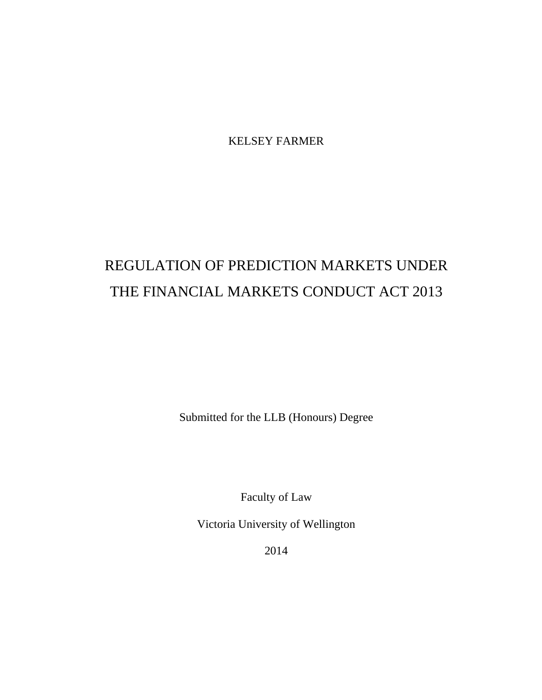KELSEY FARMER

# REGULATION OF PREDICTION MARKETS UNDER THE FINANCIAL MARKETS CONDUCT ACT 2013

Submitted for the LLB (Honours) Degree

Faculty of Law

Victoria University of Wellington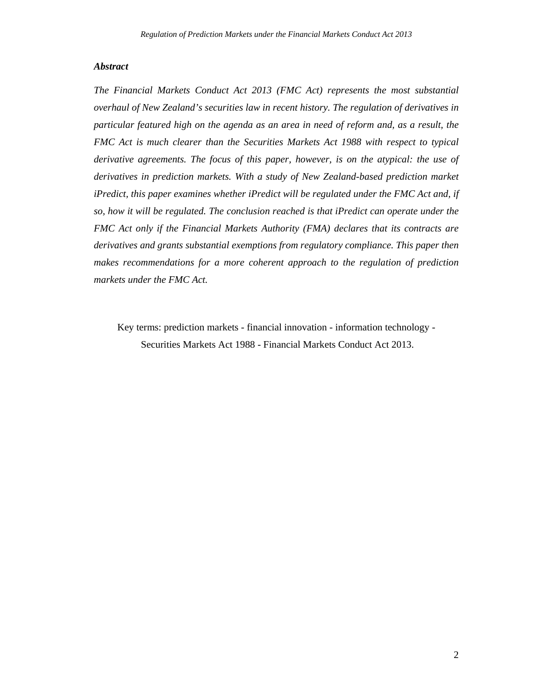## *Abstract*

*The Financial Markets Conduct Act 2013 (FMC Act) represents the most substantial overhaul of New Zealand's securities law in recent history. The regulation of derivatives in particular featured high on the agenda as an area in need of reform and, as a result, the FMC Act is much clearer than the Securities Markets Act 1988 with respect to typical derivative agreements. The focus of this paper, however, is on the atypical: the use of derivatives in prediction markets. With a study of New Zealand-based prediction market iPredict, this paper examines whether iPredict will be regulated under the FMC Act and, if so, how it will be regulated. The conclusion reached is that iPredict can operate under the FMC Act only if the Financial Markets Authority (FMA) declares that its contracts are derivatives and grants substantial exemptions from regulatory compliance. This paper then makes recommendations for a more coherent approach to the regulation of prediction markets under the FMC Act.* 

Key terms: prediction markets - financial innovation - information technology - Securities Markets Act 1988 - Financial Markets Conduct Act 2013.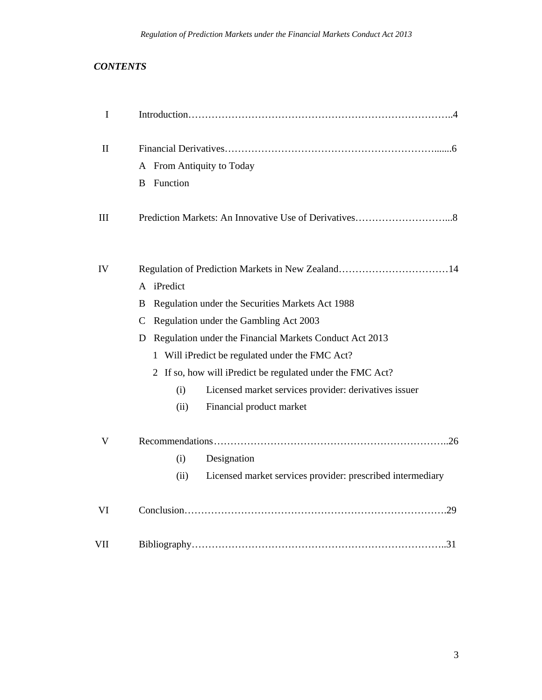# *CONTENTS*

| I         |                                                                                                                                                                                                                                                                                                                                                                     |
|-----------|---------------------------------------------------------------------------------------------------------------------------------------------------------------------------------------------------------------------------------------------------------------------------------------------------------------------------------------------------------------------|
| H         | A From Antiquity to Today<br>Function<br><sub>B</sub>                                                                                                                                                                                                                                                                                                               |
| Ш         |                                                                                                                                                                                                                                                                                                                                                                     |
| IV        | A iPredict<br>Regulation under the Securities Markets Act 1988<br>B<br>Regulation under the Gambling Act 2003<br>C<br>Regulation under the Financial Markets Conduct Act 2013<br>D<br>1 Will iPredict be regulated under the FMC Act?<br>2 If so, how will iPredict be regulated under the FMC Act?<br>Licensed market services provider: derivatives issuer<br>(i) |
| V         | Financial product market<br>(ii)<br>(i)                                                                                                                                                                                                                                                                                                                             |
|           | Designation<br>Licensed market services provider: prescribed intermediary<br>(ii)                                                                                                                                                                                                                                                                                   |
| VI<br>VII |                                                                                                                                                                                                                                                                                                                                                                     |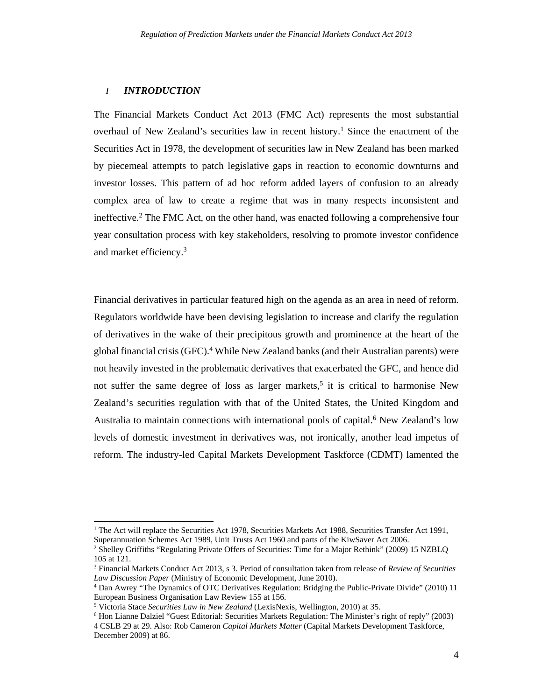## *I INTRODUCTION*

The Financial Markets Conduct Act 2013 (FMC Act) represents the most substantial overhaul of New Zealand's securities law in recent history.<sup>1</sup> Since the enactment of the Securities Act in 1978, the development of securities law in New Zealand has been marked by piecemeal attempts to patch legislative gaps in reaction to economic downturns and investor losses. This pattern of ad hoc reform added layers of confusion to an already complex area of law to create a regime that was in many respects inconsistent and ineffective.<sup>2</sup> The FMC Act, on the other hand, was enacted following a comprehensive four year consultation process with key stakeholders, resolving to promote investor confidence and market efficiency.3

Financial derivatives in particular featured high on the agenda as an area in need of reform. Regulators worldwide have been devising legislation to increase and clarify the regulation of derivatives in the wake of their precipitous growth and prominence at the heart of the global financial crisis (GFC).4 While New Zealand banks (and their Australian parents) were not heavily invested in the problematic derivatives that exacerbated the GFC, and hence did not suffer the same degree of loss as larger markets,<sup>5</sup> it is critical to harmonise New Zealand's securities regulation with that of the United States, the United Kingdom and Australia to maintain connections with international pools of capital.<sup>6</sup> New Zealand's low levels of domestic investment in derivatives was, not ironically, another lead impetus of reform. The industry-led Capital Markets Development Taskforce (CDMT) lamented the

<sup>&</sup>lt;sup>1</sup> The Act will replace the Securities Act 1978, Securities Markets Act 1988, Securities Transfer Act 1991, Superannuation Schemes Act 1989, Unit Trusts Act 1960 and parts of the KiwSaver Act 2006.

<sup>2</sup> Shelley Griffiths "Regulating Private Offers of Securities: Time for a Major Rethink" (2009) 15 NZBLQ 105 at 121.

<sup>3</sup> Financial Markets Conduct Act 2013, s 3. Period of consultation taken from release of *Review of Securities Law Discussion Paper* (Ministry of Economic Development, June 2010). 4

Dan Awrey "The Dynamics of OTC Derivatives Regulation: Bridging the Public-Private Divide" (2010) 11 European Business Organisation Law Review 155 at 156.

<sup>&</sup>lt;sup>5</sup> Victoria Stace *Securities Law in New Zealand* (LexisNexis, Wellington, 2010) at 35.<br><sup>6</sup> Hon Lianne Dalziel "Guest Editorial: Securities Markets Regulation: The Minister's a

 $6$  Hon Lianne Dalziel "Guest Editorial: Securities Markets Regulation: The Minister's right of reply" (2003) 4 CSLB 29 at 29. Also: Rob Cameron *Capital Markets Matter* (Capital Markets Development Taskforce, December 2009) at 86.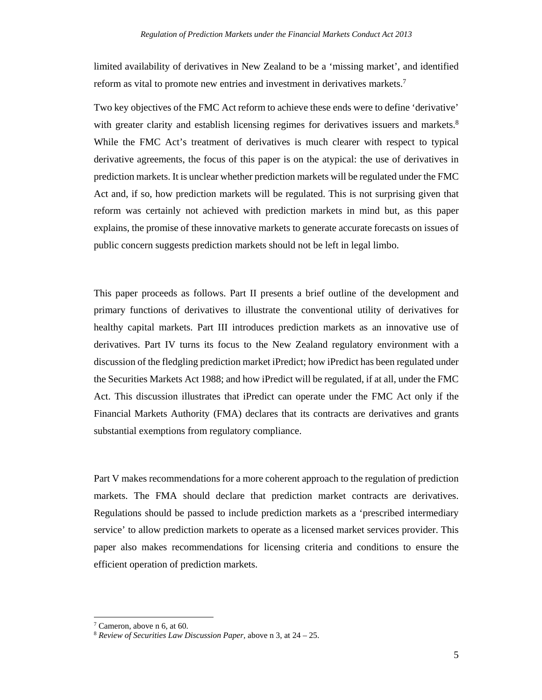limited availability of derivatives in New Zealand to be a 'missing market', and identified reform as vital to promote new entries and investment in derivatives markets.7

Two key objectives of the FMC Act reform to achieve these ends were to define 'derivative' with greater clarity and establish licensing regimes for derivatives issuers and markets.<sup>8</sup> While the FMC Act's treatment of derivatives is much clearer with respect to typical derivative agreements, the focus of this paper is on the atypical: the use of derivatives in prediction markets. It is unclear whether prediction markets will be regulated under the FMC Act and, if so, how prediction markets will be regulated. This is not surprising given that reform was certainly not achieved with prediction markets in mind but, as this paper explains, the promise of these innovative markets to generate accurate forecasts on issues of public concern suggests prediction markets should not be left in legal limbo.

This paper proceeds as follows. Part II presents a brief outline of the development and primary functions of derivatives to illustrate the conventional utility of derivatives for healthy capital markets. Part III introduces prediction markets as an innovative use of derivatives. Part IV turns its focus to the New Zealand regulatory environment with a discussion of the fledgling prediction market iPredict; how iPredict has been regulated under the Securities Markets Act 1988; and how iPredict will be regulated, if at all, under the FMC Act. This discussion illustrates that iPredict can operate under the FMC Act only if the Financial Markets Authority (FMA) declares that its contracts are derivatives and grants substantial exemptions from regulatory compliance.

Part V makes recommendations for a more coherent approach to the regulation of prediction markets. The FMA should declare that prediction market contracts are derivatives. Regulations should be passed to include prediction markets as a 'prescribed intermediary service' to allow prediction markets to operate as a licensed market services provider. This paper also makes recommendations for licensing criteria and conditions to ensure the efficient operation of prediction markets.

<sup>7</sup> Cameron, above n 6, at 60.

<sup>8</sup> *Review of Securities Law Discussion Paper,* above n 3, at 24 – 25.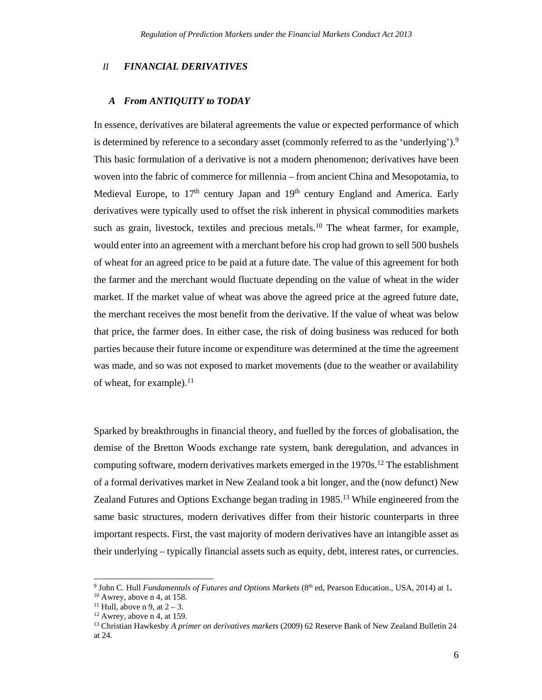#### *II FINANCIAL DERIVATIVES*

#### *A From ANTIQUITY to TODAY*

In essence, derivatives are bilateral agreements the value or expected performance of which is determined by reference to a secondary asset (commonly referred to as the 'underlying').<sup>9</sup> This basic formulation of a derivative is not a modern phenomenon; derivatives have been woven into the fabric of commerce for millennia – from ancient China and Mesopotamia, to Medieval Europe, to 17<sup>th</sup> century Japan and 19<sup>th</sup> century England and America. Early derivatives were typically used to offset the risk inherent in physical commodities markets such as grain, livestock, textiles and precious metals.<sup>10</sup> The wheat farmer, for example, would enter into an agreement with a merchant before his crop had grown to sell 500 bushels of wheat for an agreed price to be paid at a future date. The value of this agreement for both the farmer and the merchant would fluctuate depending on the value of wheat in the wider market. If the market value of wheat was above the agreed price at the agreed future date, the merchant receives the most benefit from the derivative. If the value of wheat was below that price, the farmer does. In either case, the risk of doing business was reduced for both parties because their future income or expenditure was determined at the time the agreement was made, and so was not exposed to market movements (due to the weather or availability of wheat, for example). $^{11}$ 

Sparked by breakthroughs in financial theory, and fuelled by the forces of globalisation, the demise of the Bretton Woods exchange rate system, bank deregulation, and advances in computing software, modern derivatives markets emerged in the  $1970s<sup>12</sup>$ . The establishment of a formal derivatives market in New Zealand took a bit longer, and the (now defunct) New Zealand Futures and Options Exchange began trading in 1985.<sup>13</sup> While engineered from the same basic structures, modern derivatives differ from their historic counterparts in three important respects. First, the vast majority of modern derivatives have an intangible asset as their underlying – typically financial assets such as equity, debt, interest rates, or currencies.

<sup>&</sup>lt;sup>9</sup> John C. Hull *Fundamentals of Futures and Options Markets* (8<sup>th</sup> ed, Pearson Education., USA, 2014) at 1. 10 Awrey, above n 4, at 158.

<sup>&</sup>lt;sup>11</sup> Hull, above n 9, at  $2-3$ .<br><sup>12</sup> Awrey, above n 4, at 159.

<sup>13</sup> Christian Hawkesby *A primer on derivatives markets* (2009) 62 Reserve Bank of New Zealand Bulletin 24 at 24.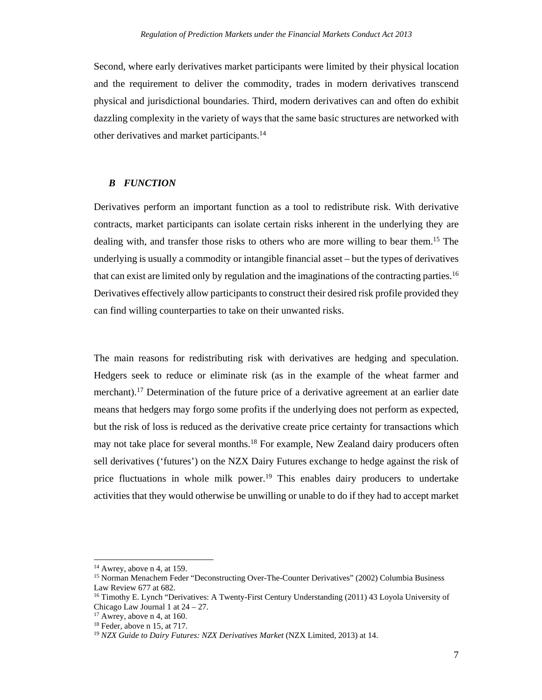Second, where early derivatives market participants were limited by their physical location and the requirement to deliver the commodity, trades in modern derivatives transcend physical and jurisdictional boundaries. Third, modern derivatives can and often do exhibit dazzling complexity in the variety of ways that the same basic structures are networked with other derivatives and market participants.<sup>14</sup>

## *B FUNCTION*

Derivatives perform an important function as a tool to redistribute risk. With derivative contracts, market participants can isolate certain risks inherent in the underlying they are dealing with, and transfer those risks to others who are more willing to bear them.<sup>15</sup> The underlying is usually a commodity or intangible financial asset – but the types of derivatives that can exist are limited only by regulation and the imaginations of the contracting parties.16 Derivatives effectively allow participants to construct their desired risk profile provided they can find willing counterparties to take on their unwanted risks.

The main reasons for redistributing risk with derivatives are hedging and speculation. Hedgers seek to reduce or eliminate risk (as in the example of the wheat farmer and merchant).17 Determination of the future price of a derivative agreement at an earlier date means that hedgers may forgo some profits if the underlying does not perform as expected, but the risk of loss is reduced as the derivative create price certainty for transactions which may not take place for several months.<sup>18</sup> For example, New Zealand dairy producers often sell derivatives ('futures') on the NZX Dairy Futures exchange to hedge against the risk of price fluctuations in whole milk power.<sup>19</sup> This enables dairy producers to undertake activities that they would otherwise be unwilling or unable to do if they had to accept market

<u> 1989 - Johann Stein, mars an t-Amerikaansk politiker (</u>

 $14$  Awrey, above n 4, at 159.

<sup>15</sup> Norman Menachem Feder "Deconstructing Over-The-Counter Derivatives" (2002) Columbia Business Law Review 677 at 682.

<sup>16</sup> Timothy E. Lynch "Derivatives: A Twenty-First Century Understanding (2011) 43 Loyola University of Chicago Law Journal 1 at 24 – 27.

 $17$  Awrey, above n 4, at 160.

<sup>18</sup> Feder, above n 15, at 717.

<sup>&</sup>lt;sup>19</sup> *NZX Guide to Dairy Futures: NZX Derivatives Market* (NZX Limited, 2013) at 14.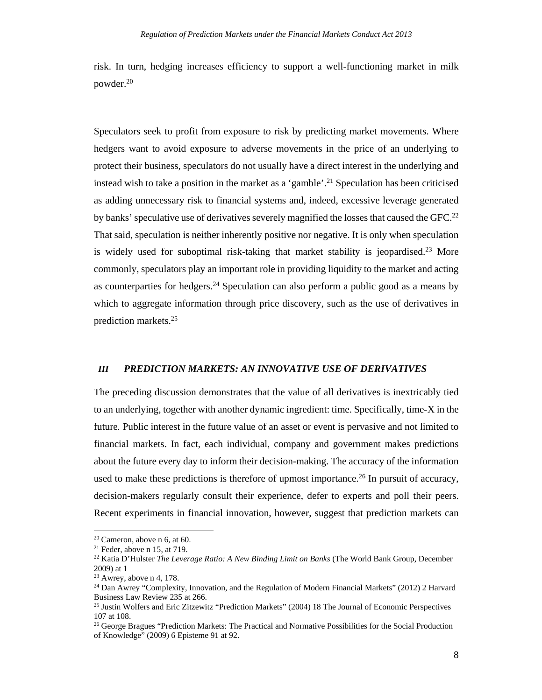risk. In turn, hedging increases efficiency to support a well-functioning market in milk powder.20

Speculators seek to profit from exposure to risk by predicting market movements. Where hedgers want to avoid exposure to adverse movements in the price of an underlying to protect their business, speculators do not usually have a direct interest in the underlying and instead wish to take a position in the market as a 'gamble'.<sup>21</sup> Speculation has been criticised as adding unnecessary risk to financial systems and, indeed, excessive leverage generated by banks' speculative use of derivatives severely magnified the losses that caused the GFC.<sup>22</sup> That said, speculation is neither inherently positive nor negative. It is only when speculation is widely used for suboptimal risk-taking that market stability is jeopardised.<sup>23</sup> More commonly, speculators play an important role in providing liquidity to the market and acting as counterparties for hedgers.<sup>24</sup> Speculation can also perform a public good as a means by which to aggregate information through price discovery, such as the use of derivatives in prediction markets.25

#### *III PREDICTION MARKETS: AN INNOVATIVE USE OF DERIVATIVES*

The preceding discussion demonstrates that the value of all derivatives is inextricably tied to an underlying, together with another dynamic ingredient: time. Specifically, time-X in the future*.* Public interest in the future value of an asset or event is pervasive and not limited to financial markets. In fact, each individual, company and government makes predictions about the future every day to inform their decision-making. The accuracy of the information used to make these predictions is therefore of upmost importance.<sup>26</sup> In pursuit of accuracy, decision-makers regularly consult their experience, defer to experts and poll their peers. Recent experiments in financial innovation, however, suggest that prediction markets can

 $20$  Cameron, above n 6, at 60.

 $21$  Feder, above n 15, at 719.

<sup>22</sup> Katia D'Hulster *The Leverage Ratio: A New Binding Limit on Banks* (The World Bank Group, December 2009) at 1

 $23$  Awrey, above n 4, 178.

<sup>&</sup>lt;sup>24</sup> Dan Awrey "Complexity, Innovation, and the Regulation of Modern Financial Markets" (2012) 2 Harvard Business Law Review 235 at 266.

<sup>25</sup> Justin Wolfers and Eric Zitzewitz "Prediction Markets" (2004) 18 The Journal of Economic Perspectives 107 at 108.

<sup>&</sup>lt;sup>26</sup> George Bragues "Prediction Markets: The Practical and Normative Possibilities for the Social Production of Knowledge" (2009) 6 Episteme 91 at 92.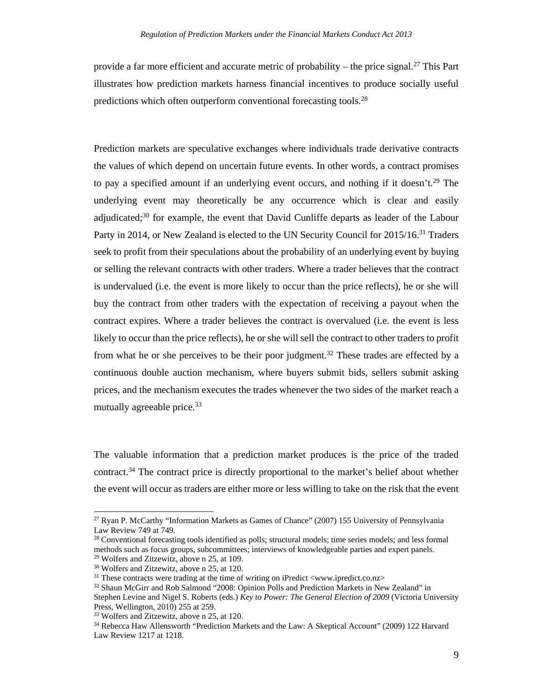provide a far more efficient and accurate metric of probability – the price signal.<sup>27</sup> This Part illustrates how prediction markets harness financial incentives to produce socially useful predictions which often outperform conventional forecasting tools.28

Prediction markets are speculative exchanges where individuals trade derivative contracts the values of which depend on uncertain future events. In other words, a contract promises to pay a specified amount if an underlying event occurs, and nothing if it doesn't.<sup>29</sup> The underlying event may theoretically be any occurrence which is clear and easily adjudicated; $30$  for example, the event that David Cunliffe departs as leader of the Labour Party in 2014, or New Zealand is elected to the UN Security Council for 2015/16.31 Traders seek to profit from their speculations about the probability of an underlying event by buying or selling the relevant contracts with other traders. Where a trader believes that the contract is undervalued (i.e. the event is more likely to occur than the price reflects), he or she will buy the contract from other traders with the expectation of receiving a payout when the contract expires. Where a trader believes the contract is overvalued (i.e. the event is less likely to occur than the price reflects), he or she will sell the contract to other traders to profit from what he or she perceives to be their poor judgment.<sup>32</sup> These trades are effected by a continuous double auction mechanism, where buyers submit bids, sellers submit asking prices, and the mechanism executes the trades whenever the two sides of the market reach a mutually agreeable price.<sup>33</sup>

The valuable information that a prediction market produces is the price of the traded contract.34 The contract price is directly proportional to the market's belief about whether the event will occur as traders are either more or less willing to take on the risk that the event

<sup>27</sup> Ryan P. McCarthy "Information Markets as Games of Chance" (2007) 155 University of Pennsylvania Law Review 749 at 749.

<sup>&</sup>lt;sup>28</sup> Conventional forecasting tools identified as polls; structural models; time series models; and less formal methods such as focus groups, subcommittees; interviews of knowledgeable parties and expert panels.

<sup>29</sup> Wolfers and Zitzewitz, above n 25, at 109.

<sup>&</sup>lt;sup>30</sup> Wolfers and Zitzewitz, above n 25, at 120.<br><sup>31</sup> These contracts were trading at the time of writing on iPredict <www.ipredict.co.nz>

<sup>&</sup>lt;sup>32</sup> Shaun McGirr and Rob Salmond "2008: Opinion Polls and Prediction Markets in New Zealand" in Stephen Levine and Nigel S. Roberts (eds.) *Key to Power: The General Election of 2009* (Victoria University Press, Wellington, 2010) 255 at 259.

<sup>33</sup> Wolfers and Zitzewitz, above n 25, at 120.

<sup>&</sup>lt;sup>34</sup> Rebecca Haw Allensworth "Prediction Markets and the Law: A Skeptical Account" (2009) 122 Harvard Law Review 1217 at 1218.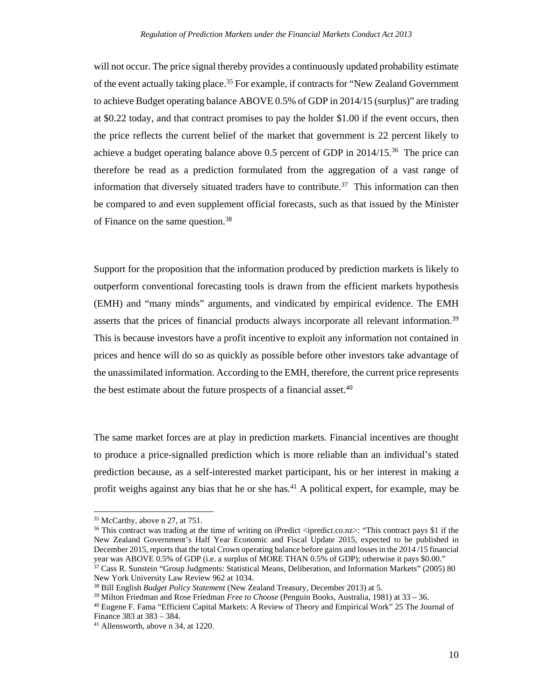will not occur. The price signal thereby provides a continuously updated probability estimate of the event actually taking place.<sup>35</sup> For example, if contracts for "New Zealand Government" to achieve Budget operating balance ABOVE 0.5% of GDP in 2014/15 (surplus)" are trading at \$0.22 today, and that contract promises to pay the holder \$1.00 if the event occurs, then the price reflects the current belief of the market that government is 22 percent likely to achieve a budget operating balance above 0.5 percent of GDP in  $2014/15^{36}$  The price can therefore be read as a prediction formulated from the aggregation of a vast range of information that diversely situated traders have to contribute.<sup>37</sup> This information can then be compared to and even supplement official forecasts, such as that issued by the Minister of Finance on the same question.38

Support for the proposition that the information produced by prediction markets is likely to outperform conventional forecasting tools is drawn from the efficient markets hypothesis (EMH) and "many minds" arguments, and vindicated by empirical evidence. The EMH asserts that the prices of financial products always incorporate all relevant information.<sup>39</sup> This is because investors have a profit incentive to exploit any information not contained in prices and hence will do so as quickly as possible before other investors take advantage of the unassimilated information. According to the EMH, therefore, the current price represents the best estimate about the future prospects of a financial asset.<sup>40</sup>

The same market forces are at play in prediction markets. Financial incentives are thought to produce a price-signalled prediction which is more reliable than an individual's stated prediction because, as a self-interested market participant, his or her interest in making a profit weighs against any bias that he or she has.<sup>41</sup> A political expert, for example, may be

<sup>36</sup> This contract was trading at the time of writing on iPredict <ipredict.co.nz>: "This contract pays \$1 if the New Zealand Government's Half Year Economic and Fiscal Update 2015, expected to be published in December 2015, reports that the total Crown operating balance before gains and losses in the 2014 /15 financial year was ABOVE 0.5% of GDP (i.e. a surplus of MORE THAN 0.5% of GDP); otherwise it pays \$0.00."

 35 McCarthy, above n 27, at 751.

<sup>&</sup>lt;sup>37</sup> Cass R. Sunstein "Group Judgments: Statistical Means, Deliberation, and Information Markets" (2005) 80 New York University Law Review 962 at 1034.

<sup>&</sup>lt;sup>38</sup> Bill English *Budget Policy Statement* (New Zealand Treasury, December 2013) at 5.<br><sup>39</sup> Milton Friedman and Rose Friedman *Free to Choose* (Penguin Books, Australia, 1981) at 33 – 36.<br><sup>40</sup> Eugene F. Fama "Efficient C

Finance 383 at 383 – 384.

<sup>41</sup> Allensworth, above n 34, at 1220.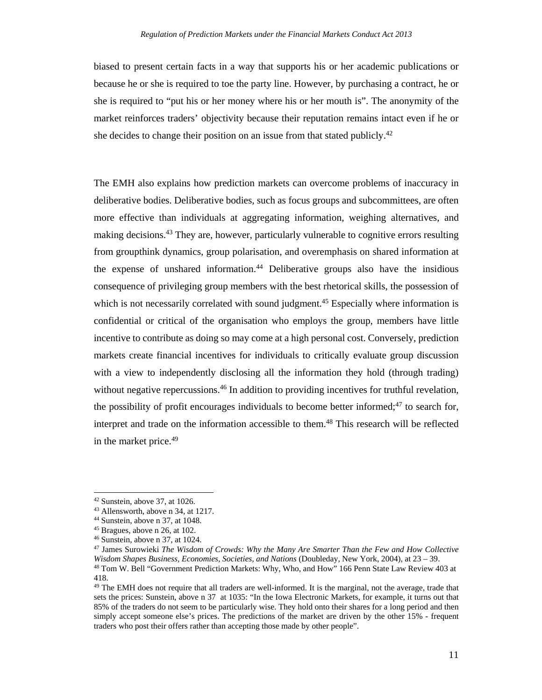biased to present certain facts in a way that supports his or her academic publications or because he or she is required to toe the party line. However, by purchasing a contract, he or she is required to "put his or her money where his or her mouth is". The anonymity of the market reinforces traders' objectivity because their reputation remains intact even if he or she decides to change their position on an issue from that stated publicly.<sup>42</sup>

The EMH also explains how prediction markets can overcome problems of inaccuracy in deliberative bodies. Deliberative bodies, such as focus groups and subcommittees, are often more effective than individuals at aggregating information, weighing alternatives, and making decisions.<sup>43</sup> They are, however, particularly vulnerable to cognitive errors resulting from groupthink dynamics, group polarisation, and overemphasis on shared information at the expense of unshared information.44 Deliberative groups also have the insidious consequence of privileging group members with the best rhetorical skills, the possession of which is not necessarily correlated with sound judgment.<sup>45</sup> Especially where information is confidential or critical of the organisation who employs the group, members have little incentive to contribute as doing so may come at a high personal cost. Conversely, prediction markets create financial incentives for individuals to critically evaluate group discussion with a view to independently disclosing all the information they hold (through trading) without negative repercussions.<sup>46</sup> In addition to providing incentives for truthful revelation, the possibility of profit encourages individuals to become better informed; $47$  to search for, interpret and trade on the information accessible to them.<sup>48</sup> This research will be reflected in the market price.49

<u> 1989 - Johann Stein, mars an t-Amerikaansk politiker (</u>

 $42$  Sunstein, above 37, at 1026.

<sup>43</sup> Allensworth, above n 34, at 1217.

<sup>44</sup> Sunstein, above n 37, at 1048.

<sup>45</sup> Bragues, above n 26, at 102.

<sup>46</sup> Sunstein, above n 37, at 1024.

<sup>47</sup> James Surowieki *The Wisdom of Crowds: Why the Many Are Smarter Than the Few and How Collective Wisdom Shapes Business, Economies, Societies, and Nations (Doubleday, New York, 2004), at 23 – 39.* <sup>48</sup> Tom W. Bell "Government Prediction Markets: Why, Who, and How" 166 Penn State Law Review 403 at 418.

<sup>&</sup>lt;sup>49</sup> The EMH does not require that all traders are well-informed. It is the marginal, not the average, trade that sets the prices: Sunstein, above n 37 at 1035: "In the Iowa Electronic Markets, for example, it turns out that 85% of the traders do not seem to be particularly wise. They hold onto their shares for a long period and then simply accept someone else's prices. The predictions of the market are driven by the other 15% - frequent traders who post their offers rather than accepting those made by other people".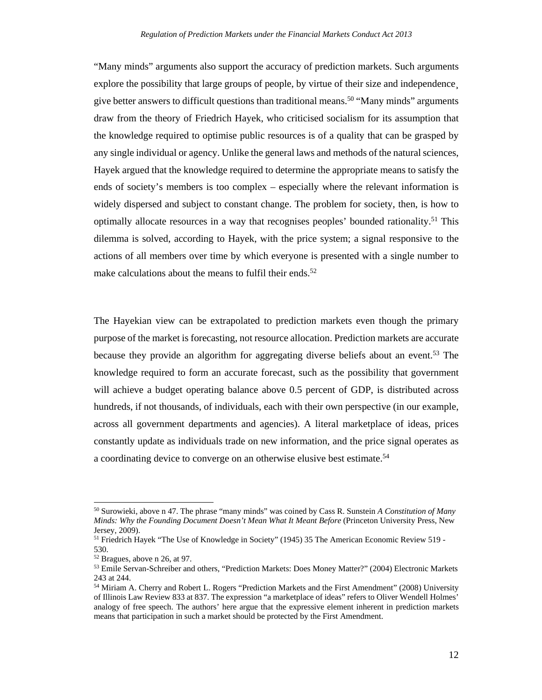"Many minds" arguments also support the accuracy of prediction markets. Such arguments explore the possibility that large groups of people, by virtue of their size and independence give better answers to difficult questions than traditional means.<sup>50</sup> "Many minds" arguments draw from the theory of Friedrich Hayek, who criticised socialism for its assumption that the knowledge required to optimise public resources is of a quality that can be grasped by any single individual or agency. Unlike the general laws and methods of the natural sciences, Hayek argued that the knowledge required to determine the appropriate means to satisfy the ends of society's members is too complex – especially where the relevant information is widely dispersed and subject to constant change. The problem for society, then, is how to optimally allocate resources in a way that recognises peoples' bounded rationality.<sup>51</sup> This dilemma is solved, according to Hayek, with the price system; a signal responsive to the actions of all members over time by which everyone is presented with a single number to make calculations about the means to fulfil their ends.<sup>52</sup>

The Hayekian view can be extrapolated to prediction markets even though the primary purpose of the market is forecasting, not resource allocation. Prediction markets are accurate because they provide an algorithm for aggregating diverse beliefs about an event.53 The knowledge required to form an accurate forecast, such as the possibility that government will achieve a budget operating balance above 0.5 percent of GDP, is distributed across hundreds, if not thousands, of individuals, each with their own perspective (in our example, across all government departments and agencies). A literal marketplace of ideas, prices constantly update as individuals trade on new information, and the price signal operates as a coordinating device to converge on an otherwise elusive best estimate.<sup>54</sup>

<sup>50</sup> Surowieki, above n 47. The phrase "many minds" was coined by Cass R. Sunstein *A Constitution of Many Minds: Why the Founding Document Doesn't Mean What It Meant Before* (Princeton University Press, New Jersey, 2009).

<sup>&</sup>lt;sup>51</sup> Friedrich Hayek "The Use of Knowledge in Society" (1945) 35 The American Economic Review 519 -530.

<sup>52</sup> Bragues, above n 26, at 97.

<sup>53</sup> Emile Servan-Schreiber and others, "Prediction Markets: Does Money Matter?" (2004) Electronic Markets 243 at 244.

<sup>54</sup> Miriam A. Cherry and Robert L. Rogers "Prediction Markets and the First Amendment" (2008) University of Illinois Law Review 833 at 837. The expression "a marketplace of ideas" refers to Oliver Wendell Holmes' analogy of free speech. The authors' here argue that the expressive element inherent in prediction markets means that participation in such a market should be protected by the First Amendment.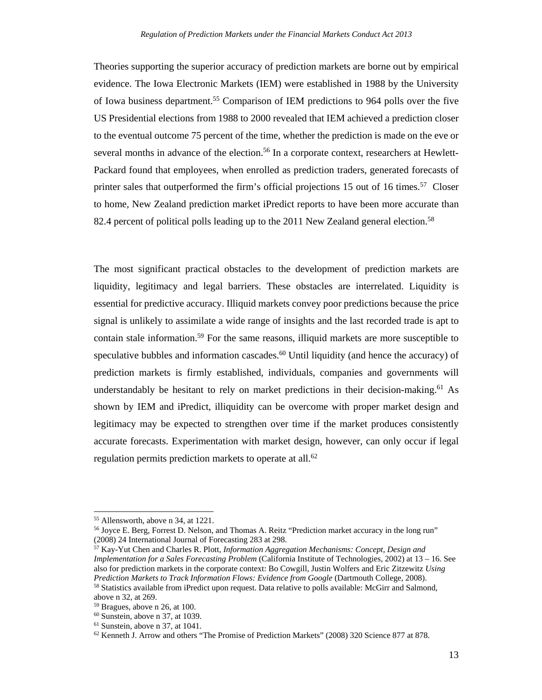Theories supporting the superior accuracy of prediction markets are borne out by empirical evidence. The Iowa Electronic Markets (IEM) were established in 1988 by the University of Iowa business department.55 Comparison of IEM predictions to 964 polls over the five US Presidential elections from 1988 to 2000 revealed that IEM achieved a prediction closer to the eventual outcome 75 percent of the time, whether the prediction is made on the eve or several months in advance of the election.<sup>56</sup> In a corporate context, researchers at Hewlett-Packard found that employees, when enrolled as prediction traders, generated forecasts of printer sales that outperformed the firm's official projections 15 out of 16 times.<sup>57</sup> Closer to home, New Zealand prediction market iPredict reports to have been more accurate than 82.4 percent of political polls leading up to the 2011 New Zealand general election.<sup>58</sup>

The most significant practical obstacles to the development of prediction markets are liquidity, legitimacy and legal barriers. These obstacles are interrelated. Liquidity is essential for predictive accuracy. Illiquid markets convey poor predictions because the price signal is unlikely to assimilate a wide range of insights and the last recorded trade is apt to contain stale information.59 For the same reasons, illiquid markets are more susceptible to speculative bubbles and information cascades.<sup>60</sup> Until liquidity (and hence the accuracy) of prediction markets is firmly established, individuals, companies and governments will understandably be hesitant to rely on market predictions in their decision-making.<sup>61</sup> As shown by IEM and iPredict, illiquidity can be overcome with proper market design and legitimacy may be expected to strengthen over time if the market produces consistently accurate forecasts. Experimentation with market design, however, can only occur if legal regulation permits prediction markets to operate at all.<sup>62</sup>

 55 Allensworth, above n 34, at 1221.

<sup>56</sup> Joyce E. Berg, Forrest D. Nelson, and Thomas A. Reitz "Prediction market accuracy in the long run" (2008) 24 International Journal of Forecasting 283 at 298.

<sup>57</sup> Kay-Yut Chen and Charles R. Plott, *Information Aggregation Mechanisms: Concept, Design and Implementation for a Sales Forecasting Problem* (California Institute of Technologies, 2002) at 13 – 16. See also for prediction markets in the corporate context: Bo Cowgill, Justin Wolfers and Eric Zitzewitz *Using*  <sup>58</sup> Statistics available from iPredict upon request. Data relative to polls available: McGirr and Salmond, above n 32, at 269.

<sup>59</sup> Bragues, above n 26, at 100.

<sup>60</sup> Sunstein, above n 37, at 1039.

 $61$  Sunstein, above n 37, at 1041.

 $62$  Kenneth J. Arrow and others "The Promise of Prediction Markets" (2008) 320 Science 877 at 878.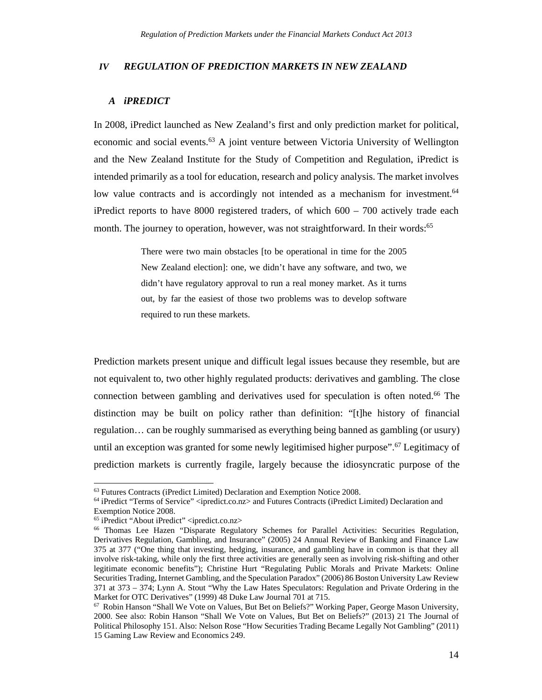#### *IV REGULATION OF PREDICTION MARKETS IN NEW ZEALAND*

## *A iPREDICT*

In 2008, iPredict launched as New Zealand's first and only prediction market for political, economic and social events.<sup>63</sup> A joint venture between Victoria University of Wellington and the New Zealand Institute for the Study of Competition and Regulation, iPredict is intended primarily as a tool for education, research and policy analysis. The market involves low value contracts and is accordingly not intended as a mechanism for investment.<sup>64</sup> iPredict reports to have  $8000$  registered traders, of which  $600 - 700$  actively trade each month. The journey to operation, however, was not straightforward. In their words:<sup>65</sup>

> There were two main obstacles [to be operational in time for the 2005 New Zealand election]: one, we didn't have any software, and two, we didn't have regulatory approval to run a real money market. As it turns out, by far the easiest of those two problems was to develop software required to run these markets.

Prediction markets present unique and difficult legal issues because they resemble, but are not equivalent to, two other highly regulated products: derivatives and gambling. The close connection between gambling and derivatives used for speculation is often noted.66 The distinction may be built on policy rather than definition: "[t]he history of financial regulation… can be roughly summarised as everything being banned as gambling (or usury) until an exception was granted for some newly legitimised higher purpose".<sup>67</sup> Legitimacy of prediction markets is currently fragile, largely because the idiosyncratic purpose of the

<sup>63</sup> Futures Contracts (iPredict Limited) Declaration and Exemption Notice 2008.

<sup>64</sup> iPredict "Terms of Service" <ipredict.co.nz> and Futures Contracts (iPredict Limited) Declaration and Exemption Notice 2008.

<sup>&</sup>lt;sup>65</sup> iPredict "About iPredict" <ipredict.co.nz>

<sup>66</sup> Thomas Lee Hazen "Disparate Regulatory Schemes for Parallel Activities: Securities Regulation, Derivatives Regulation, Gambling, and Insurance" (2005) 24 Annual Review of Banking and Finance Law 375 at 377 ("One thing that investing, hedging, insurance, and gambling have in common is that they all involve risk-taking, while only the first three activities are generally seen as involving risk-shifting and other legitimate economic benefits"); Christine Hurt "Regulating Public Morals and Private Markets: Online Securities Trading, Internet Gambling, and the Speculation Paradox" (2006) 86 Boston University Law Review 371 at 373 – 374; Lynn A. Stout "Why the Law Hates Speculators: Regulation and Private Ordering in the Market for OTC Derivatives" (1999) 48 Duke Law Journal 701 at 715.

<sup>67</sup> Robin Hanson "Shall We Vote on Values, But Bet on Beliefs?" Working Paper, George Mason University, 2000. See also: Robin Hanson "Shall We Vote on Values, But Bet on Beliefs?" (2013) 21 The Journal of Political Philosophy 151. Also: Nelson Rose "How Securities Trading Became Legally Not Gambling" (2011) 15 Gaming Law Review and Economics 249.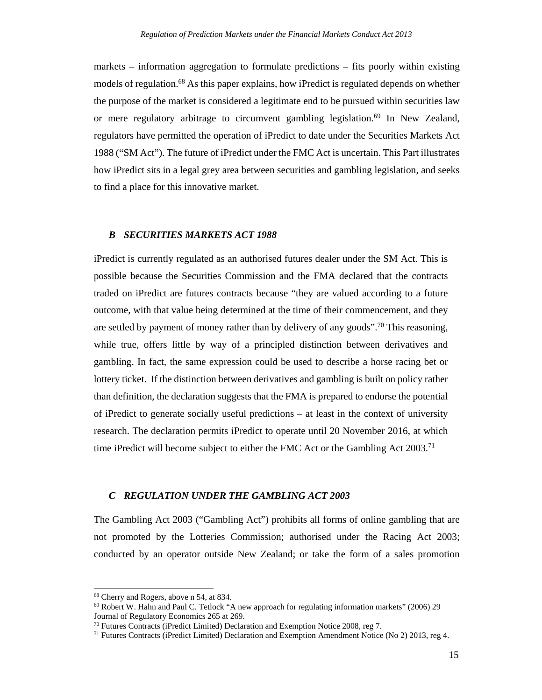markets – information aggregation to formulate predictions – fits poorly within existing models of regulation.<sup>68</sup> As this paper explains, how iPredict is regulated depends on whether the purpose of the market is considered a legitimate end to be pursued within securities law or mere regulatory arbitrage to circumvent gambling legislation.<sup>69</sup> In New Zealand, regulators have permitted the operation of iPredict to date under the Securities Markets Act 1988 ("SM Act"). The future of iPredict under the FMC Act is uncertain. This Part illustrates how iPredict sits in a legal grey area between securities and gambling legislation, and seeks to find a place for this innovative market.

#### *B SECURITIES MARKETS ACT 1988*

iPredict is currently regulated as an authorised futures dealer under the SM Act. This is possible because the Securities Commission and the FMA declared that the contracts traded on iPredict are futures contracts because "they are valued according to a future outcome, with that value being determined at the time of their commencement, and they are settled by payment of money rather than by delivery of any goods".<sup>70</sup> This reasoning, while true, offers little by way of a principled distinction between derivatives and gambling. In fact, the same expression could be used to describe a horse racing bet or lottery ticket. If the distinction between derivatives and gambling is built on policy rather than definition, the declaration suggests that the FMA is prepared to endorse the potential of iPredict to generate socially useful predictions – at least in the context of university research. The declaration permits iPredict to operate until 20 November 2016, at which time iPredict will become subject to either the FMC Act or the Gambling Act 2003.<sup>71</sup>

## *C REGULATION UNDER THE GAMBLING ACT 2003*

The Gambling Act 2003 ("Gambling Act") prohibits all forms of online gambling that are not promoted by the Lotteries Commission; authorised under the Racing Act 2003; conducted by an operator outside New Zealand; or take the form of a sales promotion

<sup>68</sup> Cherry and Rogers, above n 54, at 834.

<sup>69</sup> Robert W. Hahn and Paul C. Tetlock "A new approach for regulating information markets" (2006) 29 Journal of Regulatory Economics 265 at 269.

<sup>&</sup>lt;sup>70</sup> Futures Contracts (iPredict Limited) Declaration and Exemption Notice 2008, reg 7.<br><sup>71</sup> Futures Contracts (iPredict Limited) Declaration and Exemption Amendment Notice (No 2) 2013, reg 4.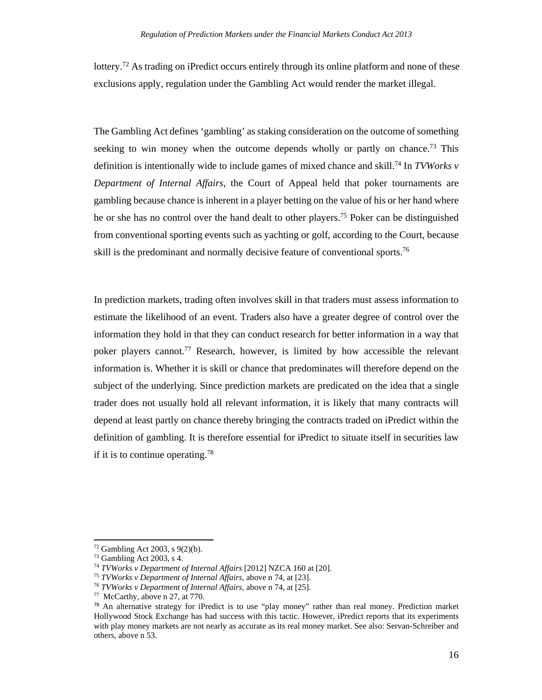lottery.<sup>72</sup> As trading on iPredict occurs entirely through its online platform and none of these exclusions apply, regulation under the Gambling Act would render the market illegal.

The Gambling Act defines 'gambling' as staking consideration on the outcome of something seeking to win money when the outcome depends wholly or partly on chance.<sup>73</sup> This definition is intentionally wide to include games of mixed chance and skill.<sup>74</sup> In *TVWorks v Department of Internal Affairs,* the Court of Appeal held that poker tournaments are gambling because chance is inherent in a player betting on the value of his or her hand where he or she has no control over the hand dealt to other players.75 Poker can be distinguished from conventional sporting events such as yachting or golf, according to the Court, because skill is the predominant and normally decisive feature of conventional sports.<sup>76</sup>

In prediction markets, trading often involves skill in that traders must assess information to estimate the likelihood of an event. Traders also have a greater degree of control over the information they hold in that they can conduct research for better information in a way that poker players cannot.77 Research, however, is limited by how accessible the relevant information is. Whether it is skill or chance that predominates will therefore depend on the subject of the underlying. Since prediction markets are predicated on the idea that a single trader does not usually hold all relevant information, it is likely that many contracts will depend at least partly on chance thereby bringing the contracts traded on iPredict within the definition of gambling. It is therefore essential for iPredict to situate itself in securities law if it is to continue operating.78

 72 Gambling Act 2003, s 9(2)(b).

<sup>73</sup> Gambling Act 2003, s 4.

<sup>&</sup>lt;sup>74</sup> TVWorks v Department of Internal Affairs [2012] NZCA 160 at [20].<br><sup>75</sup> TVWorks v Department of Internal Affairs, above n 74, at [23].<br><sup>76</sup> TVWorks v Department of Internal Affairs, above n 74, at [25].<br><sup>77</sup> McCarthy,

<sup>78</sup> An alternative strategy for iPredict is to use "play money" rather than real money. Prediction market Hollywood Stock Exchange has had success with this tactic. However, iPredict reports that its experiments with play money markets are not nearly as accurate as its real money market. See also: Servan-Schreiber and others, above n 53.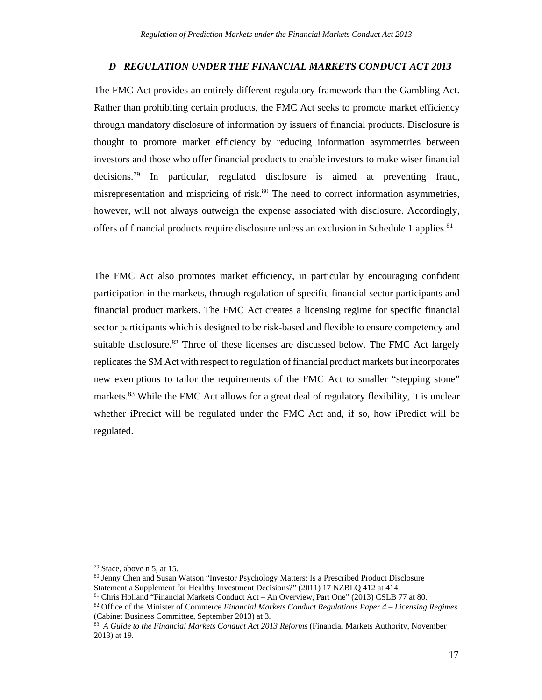#### *D REGULATION UNDER THE FINANCIAL MARKETS CONDUCT ACT 2013*

The FMC Act provides an entirely different regulatory framework than the Gambling Act. Rather than prohibiting certain products, the FMC Act seeks to promote market efficiency through mandatory disclosure of information by issuers of financial products. Disclosure is thought to promote market efficiency by reducing information asymmetries between investors and those who offer financial products to enable investors to make wiser financial decisions.79 In particular, regulated disclosure is aimed at preventing fraud, misrepresentation and mispricing of risk.<sup>80</sup> The need to correct information asymmetries, however, will not always outweigh the expense associated with disclosure. Accordingly, offers of financial products require disclosure unless an exclusion in Schedule 1 applies.<sup>81</sup>

The FMC Act also promotes market efficiency, in particular by encouraging confident participation in the markets, through regulation of specific financial sector participants and financial product markets. The FMC Act creates a licensing regime for specific financial sector participants which is designed to be risk-based and flexible to ensure competency and suitable disclosure.<sup>82</sup> Three of these licenses are discussed below. The FMC Act largely replicates the SM Act with respect to regulation of financial product markets but incorporates new exemptions to tailor the requirements of the FMC Act to smaller "stepping stone" markets.<sup>83</sup> While the FMC Act allows for a great deal of regulatory flexibility, it is unclear whether iPredict will be regulated under the FMC Act and, if so, how iPredict will be regulated.

<u> 1989 - Johann Stein, mars an t-Amerikaansk politiker (</u>

<sup>79</sup> Stace, above n 5, at 15.

<sup>80</sup> Jenny Chen and Susan Watson "Investor Psychology Matters: Is a Prescribed Product Disclosure Statement a Supplement for Healthy Investment Decisions?" (2011) 17 NZBLQ 412 at 414. 81 Chris Holland "Financial Markets Conduct Act – An Overview, Part One" (2013) CSLB 77 at 80.

<sup>82</sup> Office of the Minister of Commerce *Financial Markets Conduct Regulations Paper 4 – Licensing Regimes*  (Cabinet Business Committee, September 2013) at 3.

<sup>83</sup> *A Guide to the Financial Markets Conduct Act 2013 Reforms* (Financial Markets Authority, November 2013) at 19.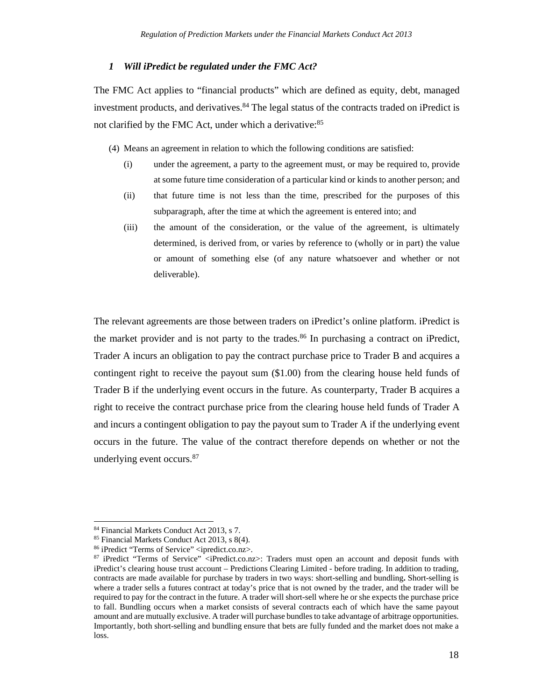#### *1 Will iPredict be regulated under the FMC Act?*

The FMC Act applies to "financial products" which are defined as equity, debt, managed investment products, and derivatives.<sup>84</sup> The legal status of the contracts traded on iPredict is not clarified by the FMC Act, under which a derivative:<sup>85</sup>

(4) Means an agreement in relation to which the following conditions are satisfied:

- (i) under the agreement, a party to the agreement must, or may be required to, provide at some future time consideration of a particular kind or kinds to another person; and
- (ii) that future time is not less than the time, prescribed for the purposes of this subparagraph, after the time at which the agreement is entered into; and
- (iii) the amount of the consideration, or the value of the agreement, is ultimately determined, is derived from, or varies by reference to (wholly or in part) the value or amount of something else (of any nature whatsoever and whether or not deliverable).

The relevant agreements are those between traders on iPredict's online platform. iPredict is the market provider and is not party to the trades.<sup>86</sup> In purchasing a contract on iPredict, Trader A incurs an obligation to pay the contract purchase price to Trader B and acquires a contingent right to receive the payout sum (\$1.00) from the clearing house held funds of Trader B if the underlying event occurs in the future. As counterparty, Trader B acquires a right to receive the contract purchase price from the clearing house held funds of Trader A and incurs a contingent obligation to pay the payout sum to Trader A if the underlying event occurs in the future. The value of the contract therefore depends on whether or not the underlying event occurs.87

<sup>84</sup> Financial Markets Conduct Act 2013, s 7.

<sup>85</sup> Financial Markets Conduct Act 2013, s 8(4).

<sup>86</sup> iPredict "Terms of Service" <ipredict.co.nz>.

<sup>87</sup> iPredict "Terms of Service" <iPredict.co.nz>: Traders must open an account and deposit funds with iPredict's clearing house trust account – Predictions Clearing Limited - before trading. In addition to trading, contracts are made available for purchase by traders in two ways: short-selling and bundling**.** Short-selling is where a trader sells a futures contract at today's price that is not owned by the trader, and the trader will be required to pay for the contract in the future. A trader will short-sell where he or she expects the purchase price to fall. Bundling occurs when a market consists of several contracts each of which have the same payout amount and are mutually exclusive. A trader will purchase bundles to take advantage of arbitrage opportunities. Importantly, both short-selling and bundling ensure that bets are fully funded and the market does not make a loss.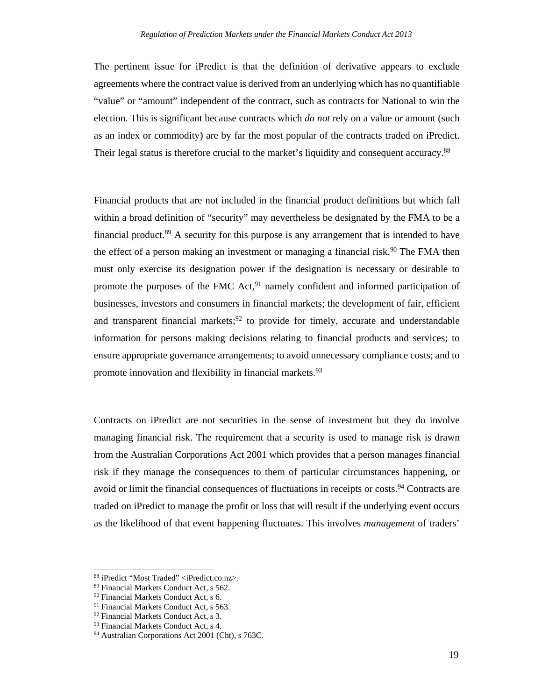The pertinent issue for iPredict is that the definition of derivative appears to exclude agreements where the contract value is derived from an underlying which has no quantifiable "value" or "amount" independent of the contract, such as contracts for National to win the election. This is significant because contracts which *do not* rely on a value or amount (such as an index or commodity) are by far the most popular of the contracts traded on iPredict. Their legal status is therefore crucial to the market's liquidity and consequent accuracy.<sup>88</sup>

Financial products that are not included in the financial product definitions but which fall within a broad definition of "security" may nevertheless be designated by the FMA to be a financial product.89 A security for this purpose is any arrangement that is intended to have the effect of a person making an investment or managing a financial risk.<sup>90</sup> The FMA then must only exercise its designation power if the designation is necessary or desirable to promote the purposes of the FMC Act,<sup>91</sup> namely confident and informed participation of businesses, investors and consumers in financial markets; the development of fair, efficient and transparent financial markets;<sup>92</sup> to provide for timely, accurate and understandable information for persons making decisions relating to financial products and services; to ensure appropriate governance arrangements; to avoid unnecessary compliance costs; and to promote innovation and flexibility in financial markets.<sup>93</sup>

Contracts on iPredict are not securities in the sense of investment but they do involve managing financial risk. The requirement that a security is used to manage risk is drawn from the Australian Corporations Act 2001 which provides that a person manages financial risk if they manage the consequences to them of particular circumstances happening, or avoid or limit the financial consequences of fluctuations in receipts or costs.<sup>94</sup> Contracts are traded on iPredict to manage the profit or loss that will result if the underlying event occurs as the likelihood of that event happening fluctuates. This involves *management* of traders'

<u> 1989 - Johann Stein, mars an t-Amerikaansk politiker (</u>

<sup>88</sup> iPredict "Most Traded" <iPredict.co.nz>.

<sup>89</sup> Financial Markets Conduct Act, s 562.

<sup>90</sup> Financial Markets Conduct Act, s 6.

<sup>&</sup>lt;sup>91</sup> Financial Markets Conduct Act, s 563.

<sup>92</sup> Financial Markets Conduct Act, s 3.

<sup>93</sup> Financial Markets Conduct Act, s 4.

<sup>94</sup> Australian Corporations Act 2001 (Cht), s 763C.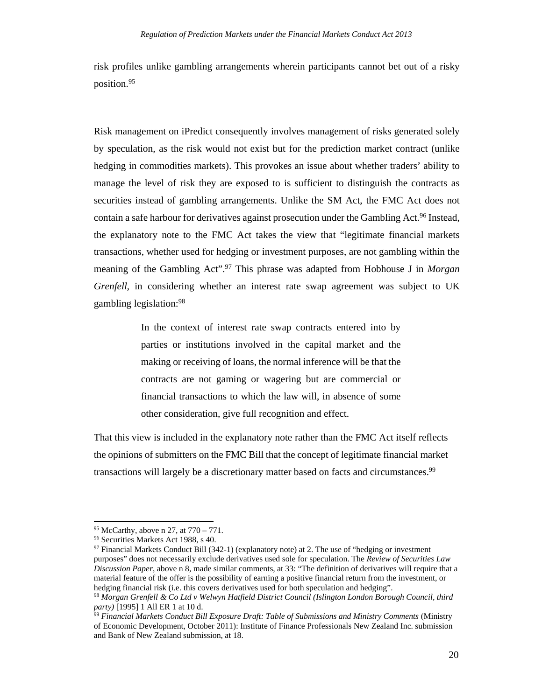risk profiles unlike gambling arrangements wherein participants cannot bet out of a risky position.95

Risk management on iPredict consequently involves management of risks generated solely by speculation, as the risk would not exist but for the prediction market contract (unlike hedging in commodities markets). This provokes an issue about whether traders' ability to manage the level of risk they are exposed to is sufficient to distinguish the contracts as securities instead of gambling arrangements. Unlike the SM Act, the FMC Act does not contain a safe harbour for derivatives against prosecution under the Gambling Act.<sup>96</sup> Instead, the explanatory note to the FMC Act takes the view that "legitimate financial markets transactions, whether used for hedging or investment purposes, are not gambling within the meaning of the Gambling Act".97 This phrase was adapted from Hobhouse J in *Morgan Grenfell*, in considering whether an interest rate swap agreement was subject to UK gambling legislation:98

> In the context of interest rate swap contracts entered into by parties or institutions involved in the capital market and the making or receiving of loans, the normal inference will be that the contracts are not gaming or wagering but are commercial or financial transactions to which the law will, in absence of some other consideration, give full recognition and effect.

That this view is included in the explanatory note rather than the FMC Act itself reflects the opinions of submitters on the FMC Bill that the concept of legitimate financial market transactions will largely be a discretionary matter based on facts and circumstances.99

 95 McCarthy, above n 27, at 770 – 771.

<sup>96</sup> Securities Markets Act 1988, s 40.

 $97$  Financial Markets Conduct Bill (342-1) (explanatory note) at 2. The use of "hedging or investment purposes" does not necessarily exclude derivatives used sole for speculation. The *Review of Securities Law Discussion Paper*, above n 8, made similar comments, at 33: "The definition of derivatives will require that a material feature of the offer is the possibility of earning a positive financial return from the investment, or hedging financial risk (i.e. this covers derivatives used for both speculation and hedging".

<sup>98</sup> *Morgan Grenfell & Co Ltd v Welwyn Hatfield District Council (Islington London Borough Council, third* 

<sup>&</sup>lt;sup>99</sup> Financial Markets Conduct Bill Exposure Draft: Table of Submissions and Ministry Comments (Ministry of Economic Development, October 2011): Institute of Finance Professionals New Zealand Inc. submission and Bank of New Zealand submission, at 18.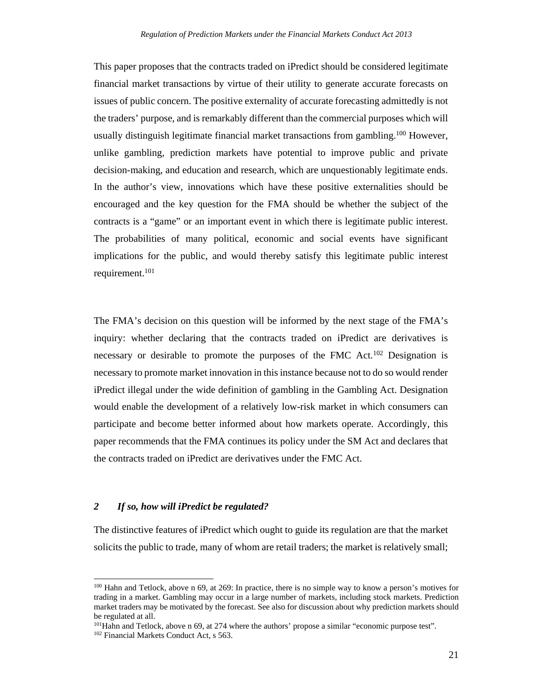This paper proposes that the contracts traded on iPredict should be considered legitimate financial market transactions by virtue of their utility to generate accurate forecasts on issues of public concern. The positive externality of accurate forecasting admittedly is not the traders' purpose, and is remarkably different than the commercial purposes which will usually distinguish legitimate financial market transactions from gambling.<sup>100</sup> However, unlike gambling, prediction markets have potential to improve public and private decision-making, and education and research, which are unquestionably legitimate ends. In the author's view, innovations which have these positive externalities should be encouraged and the key question for the FMA should be whether the subject of the contracts is a "game" or an important event in which there is legitimate public interest. The probabilities of many political, economic and social events have significant implications for the public, and would thereby satisfy this legitimate public interest requirement.<sup>101</sup>

The FMA's decision on this question will be informed by the next stage of the FMA's inquiry: whether declaring that the contracts traded on iPredict are derivatives is necessary or desirable to promote the purposes of the FMC Act.<sup>102</sup> Designation is necessary to promote market innovation in this instance because not to do so would render iPredict illegal under the wide definition of gambling in the Gambling Act. Designation would enable the development of a relatively low-risk market in which consumers can participate and become better informed about how markets operate. Accordingly, this paper recommends that the FMA continues its policy under the SM Act and declares that the contracts traded on iPredict are derivatives under the FMC Act.

## *2 If so, how will iPredict be regulated?*

The distinctive features of iPredict which ought to guide its regulation are that the market solicits the public to trade, many of whom are retail traders; the market is relatively small;

<sup>100</sup> Hahn and Tetlock, above n 69, at 269: In practice, there is no simple way to know a person's motives for trading in a market. Gambling may occur in a large number of markets, including stock markets. Prediction market traders may be motivated by the forecast. See also for discussion about why prediction markets should be regulated at all.

<sup>&</sup>lt;sup>101</sup>Hahn and Tetlock, above n 69, at 274 where the authors' propose a similar "economic purpose test".  $102$  Financial Markets Conduct Act, s 563.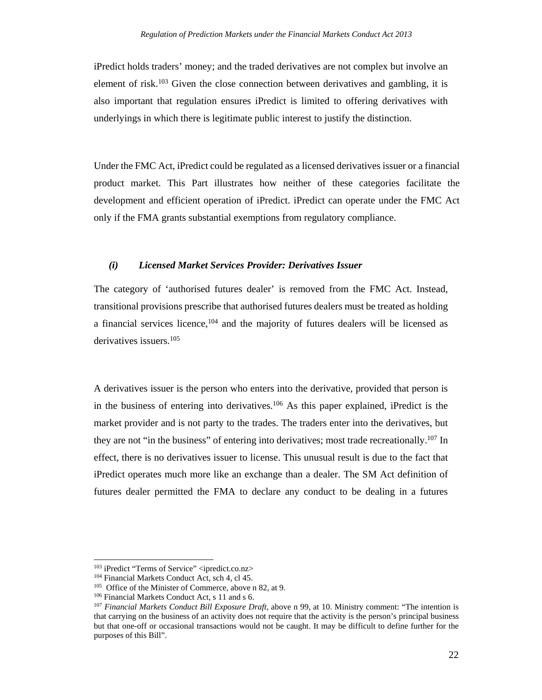iPredict holds traders' money; and the traded derivatives are not complex but involve an element of risk.<sup>103</sup> Given the close connection between derivatives and gambling, it is also important that regulation ensures iPredict is limited to offering derivatives with underlyings in which there is legitimate public interest to justify the distinction.

Under the FMC Act, iPredict could be regulated as a licensed derivatives issuer or a financial product market. This Part illustrates how neither of these categories facilitate the development and efficient operation of iPredict. iPredict can operate under the FMC Act only if the FMA grants substantial exemptions from regulatory compliance.

## *(i) Licensed Market Services Provider: Derivatives Issuer*

The category of 'authorised futures dealer' is removed from the FMC Act. Instead, transitional provisions prescribe that authorised futures dealers must be treated as holding a financial services licence,<sup>104</sup> and the majority of futures dealers will be licensed as derivatives issuers.105

A derivatives issuer is the person who enters into the derivative, provided that person is in the business of entering into derivatives.106 As this paper explained, iPredict is the market provider and is not party to the trades. The traders enter into the derivatives, but they are not "in the business" of entering into derivatives; most trade recreationally.<sup>107</sup> In effect, there is no derivatives issuer to license. This unusual result is due to the fact that iPredict operates much more like an exchange than a dealer. The SM Act definition of futures dealer permitted the FMA to declare any conduct to be dealing in a futures

<u> 1989 - Johann Stein, mars an t-Amerikaansk politiker (</u>

<sup>&</sup>lt;sup>103</sup> iPredict "Terms of Service" <ipredict.co.nz><br><sup>104</sup> Financial Markets Conduct Act, sch 4, cl 45.<br><sup>105</sup> Office of the Minister of Commerce, above n 82, at 9.<br><sup>106</sup> Financial Markets Conduct Act, s 11 and s 6.<br><sup>107</sup> Fin that carrying on the business of an activity does not require that the activity is the person's principal business but that one-off or occasional transactions would not be caught. It may be difficult to define further for the purposes of this Bill".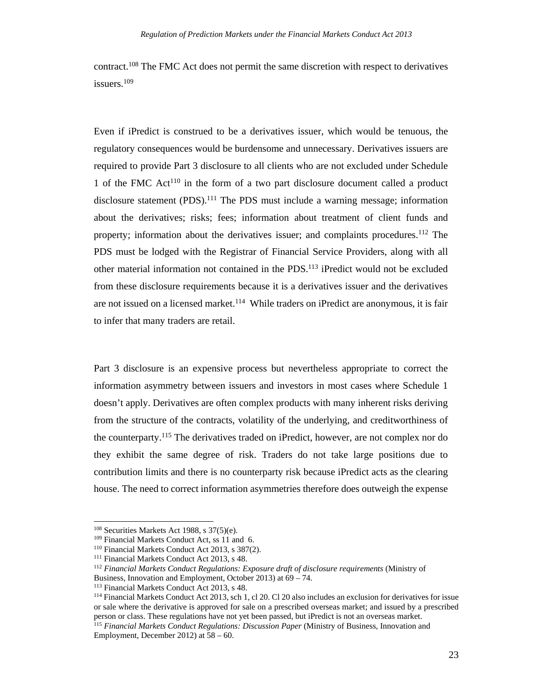contract.108 The FMC Act does not permit the same discretion with respect to derivatives issuers.109

Even if iPredict is construed to be a derivatives issuer, which would be tenuous, the regulatory consequences would be burdensome and unnecessary. Derivatives issuers are required to provide Part 3 disclosure to all clients who are not excluded under Schedule 1 of the FMC  $Act^{110}$  in the form of a two part disclosure document called a product disclosure statement  $(PDS)$ <sup>111</sup>. The PDS must include a warning message; information about the derivatives; risks; fees; information about treatment of client funds and property; information about the derivatives issuer; and complaints procedures.112 The PDS must be lodged with the Registrar of Financial Service Providers, along with all other material information not contained in the PDS.113 iPredict would not be excluded from these disclosure requirements because it is a derivatives issuer and the derivatives are not issued on a licensed market.<sup>114</sup> While traders on iPredict are anonymous, it is fair to infer that many traders are retail.

Part 3 disclosure is an expensive process but nevertheless appropriate to correct the information asymmetry between issuers and investors in most cases where Schedule 1 doesn't apply. Derivatives are often complex products with many inherent risks deriving from the structure of the contracts, volatility of the underlying, and creditworthiness of the counterparty.115 The derivatives traded on iPredict, however, are not complex nor do they exhibit the same degree of risk. Traders do not take large positions due to contribution limits and there is no counterparty risk because iPredict acts as the clearing house. The need to correct information asymmetries therefore does outweigh the expense

<sup>&</sup>lt;sup>108</sup> Securities Markets Act 1988, s 37(5)(e).<br><sup>109</sup> Financial Markets Conduct Act, ss 11 and 6.<br><sup>110</sup> Financial Markets Conduct Act 2013, s 387(2).<br><sup>111</sup> Financial Markets Conduct Act 2013, s 48.<br><sup>112</sup> Financial Markets Business, Innovation and Employment, October 2013) at 69 – 74.<br><sup>113</sup> Financial Markets Conduct Act 2013, s 48.

 $114$  Financial Markets Conduct Act 2013, sch 1, cl 20. Cl 20 also includes an exclusion for derivatives for issue or sale where the derivative is approved for sale on a prescribed overseas market; and issued by a prescribed person or class. These regulations have not yet been passed, but iPredict is not an overseas market.

<sup>115</sup> *Financial Markets Conduct Regulations: Discussion Paper* (Ministry of Business, Innovation and Employment, December 2012) at 58 – 60.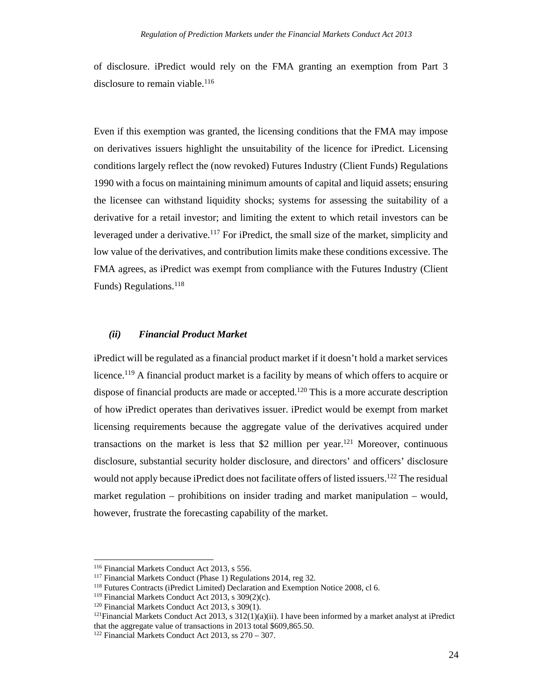of disclosure. iPredict would rely on the FMA granting an exemption from Part 3 disclosure to remain viable.<sup>116</sup>

Even if this exemption was granted, the licensing conditions that the FMA may impose on derivatives issuers highlight the unsuitability of the licence for iPredict. Licensing conditions largely reflect the (now revoked) Futures Industry (Client Funds) Regulations 1990 with a focus on maintaining minimum amounts of capital and liquid assets; ensuring the licensee can withstand liquidity shocks; systems for assessing the suitability of a derivative for a retail investor; and limiting the extent to which retail investors can be leveraged under a derivative.<sup>117</sup> For iPredict, the small size of the market, simplicity and low value of the derivatives, and contribution limits make these conditions excessive. The FMA agrees, as iPredict was exempt from compliance with the Futures Industry (Client Funds) Regulations.118

## *(ii) Financial Product Market*

iPredict will be regulated as a financial product market if it doesn't hold a market services licence.119 A financial product market is a facility by means of which offers to acquire or dispose of financial products are made or accepted.<sup>120</sup> This is a more accurate description of how iPredict operates than derivatives issuer. iPredict would be exempt from market licensing requirements because the aggregate value of the derivatives acquired under transactions on the market is less that \$2 million per year.<sup>121</sup> Moreover, continuous disclosure, substantial security holder disclosure, and directors' and officers' disclosure would not apply because iPredict does not facilitate offers of listed issuers.<sup>122</sup> The residual market regulation – prohibitions on insider trading and market manipulation – would, however, frustrate the forecasting capability of the market.

<u> 1989 - Johann Stein, mars an t-Amerikaansk politiker (</u>

<sup>&</sup>lt;sup>116</sup> Financial Markets Conduct Act 2013, s 556.<br><sup>117</sup> Financial Markets Conduct (Phase 1) Regulations 2014, reg 32.<br><sup>118</sup> Futures Contracts (iPredict Limited) Declaration and Exemption Notice 2008, cl 6.<br><sup>119</sup> Financial that the aggregate value of transactions in 2013 total \$609,865.50.

<sup>122</sup> Financial Markets Conduct Act 2013, ss 270 – 307.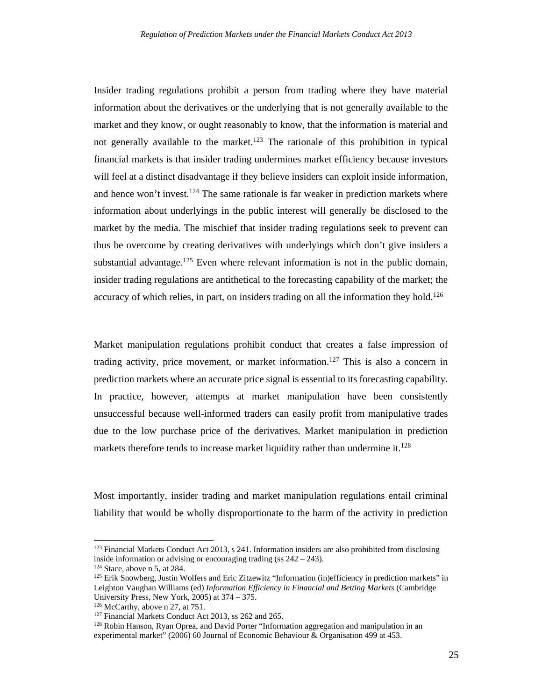Insider trading regulations prohibit a person from trading where they have material information about the derivatives or the underlying that is not generally available to the market and they know, or ought reasonably to know, that the information is material and not generally available to the market.<sup>123</sup> The rationale of this prohibition in typical financial markets is that insider trading undermines market efficiency because investors will feel at a distinct disadvantage if they believe insiders can exploit inside information, and hence won't invest.<sup>124</sup> The same rationale is far weaker in prediction markets where information about underlyings in the public interest will generally be disclosed to the market by the media. The mischief that insider trading regulations seek to prevent can thus be overcome by creating derivatives with underlyings which don't give insiders a substantial advantage.<sup>125</sup> Even where relevant information is not in the public domain, insider trading regulations are antithetical to the forecasting capability of the market; the accuracy of which relies, in part, on insiders trading on all the information they hold.<sup>126</sup>

Market manipulation regulations prohibit conduct that creates a false impression of trading activity, price movement, or market information.<sup>127</sup> This is also a concern in prediction markets where an accurate price signal is essential to its forecasting capability. In practice, however, attempts at market manipulation have been consistently unsuccessful because well-informed traders can easily profit from manipulative trades due to the low purchase price of the derivatives. Market manipulation in prediction markets therefore tends to increase market liquidity rather than undermine it.<sup>128</sup>

Most importantly, insider trading and market manipulation regulations entail criminal liability that would be wholly disproportionate to the harm of the activity in prediction

<sup>&</sup>lt;sup>123</sup> Financial Markets Conduct Act 2013, s 241. Information insiders are also prohibited from disclosing inside information or advising or encouraging trading (ss 242 – 243).

<sup>&</sup>lt;sup>124</sup> Stace, above n 5, at 284.  $\frac{125 \text{ Erik}}{125 \text{ Erik}}$  Snowberg, Justin Wolfers and Eric Zitzewitz "Information (in)efficiency in prediction markets" in Leighton Vaughan Williams (ed) *Information Efficiency in Financial and Betting Markets* (Cambridge University Press, New York, 2005) at 374 – 375.

<sup>&</sup>lt;sup>126</sup> McCarthy, above n 27, at 751.<br><sup>127</sup> Financial Markets Conduct Act 2013, ss 262 and 265. <sup>128</sup> Robin Hanson, Ryan Oprea, and David Porter "Information aggregation and manipulation in an experimental market" (2006) 60 Journal of Economic Behaviour & Organisation 499 at 453.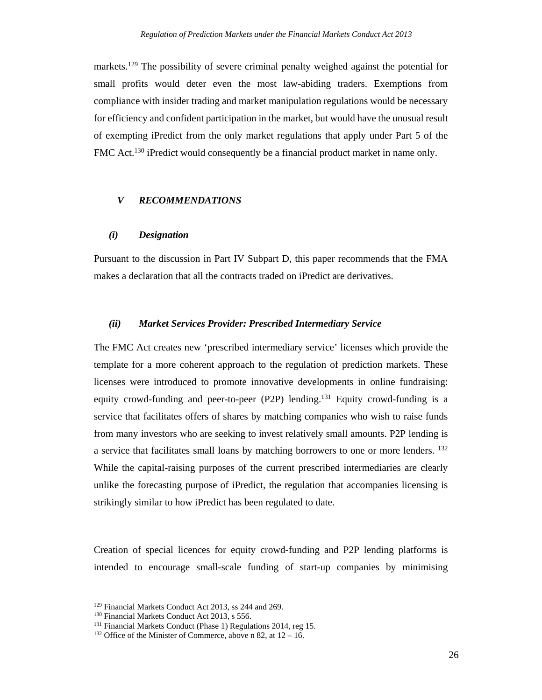markets.<sup>129</sup> The possibility of severe criminal penalty weighed against the potential for small profits would deter even the most law-abiding traders. Exemptions from compliance with insider trading and market manipulation regulations would be necessary for efficiency and confident participation in the market, but would have the unusual result of exempting iPredict from the only market regulations that apply under Part 5 of the FMC Act.<sup>130</sup> iPredict would consequently be a financial product market in name only.

## *V RECOMMENDATIONS*

## *(i) Designation*

Pursuant to the discussion in Part IV Subpart D, this paper recommends that the FMA makes a declaration that all the contracts traded on iPredict are derivatives.

#### *(ii) Market Services Provider: Prescribed Intermediary Service*

The FMC Act creates new 'prescribed intermediary service' licenses which provide the template for a more coherent approach to the regulation of prediction markets. These licenses were introduced to promote innovative developments in online fundraising: equity crowd-funding and peer-to-peer (P2P) lending.<sup>131</sup> Equity crowd-funding is a service that facilitates offers of shares by matching companies who wish to raise funds from many investors who are seeking to invest relatively small amounts. P2P lending is a service that facilitates small loans by matching borrowers to one or more lenders. <sup>132</sup> While the capital-raising purposes of the current prescribed intermediaries are clearly unlike the forecasting purpose of iPredict, the regulation that accompanies licensing is strikingly similar to how iPredict has been regulated to date.

Creation of special licences for equity crowd-funding and P2P lending platforms is intended to encourage small-scale funding of start-up companies by minimising

<sup>&</sup>lt;sup>129</sup> Financial Markets Conduct Act 2013, ss 244 and 269.<br><sup>130</sup> Financial Markets Conduct Act 2013, s 556.<br><sup>131</sup> Financial Markets Conduct (Phase 1) Regulations 2014, reg 15.<br><sup>132</sup> Office of the Minister of Commerce, abov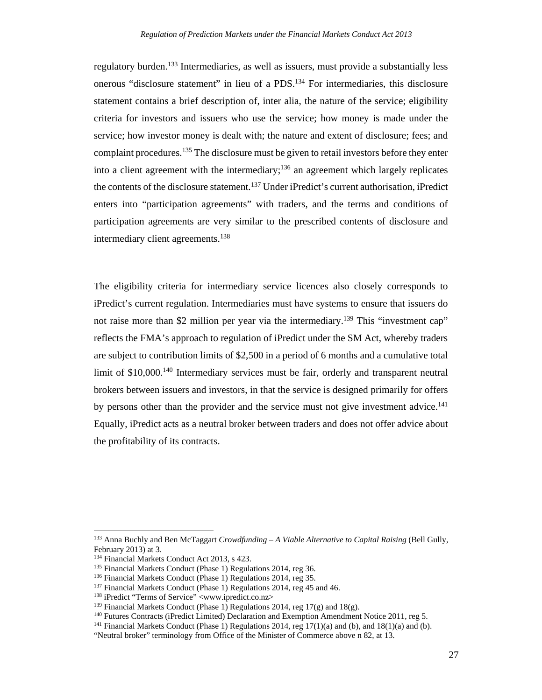regulatory burden.<sup>133</sup> Intermediaries, as well as issuers, must provide a substantially less onerous "disclosure statement" in lieu of a PDS.134 For intermediaries, this disclosure statement contains a brief description of, inter alia, the nature of the service; eligibility criteria for investors and issuers who use the service; how money is made under the service; how investor money is dealt with; the nature and extent of disclosure; fees; and complaint procedures.135 The disclosure must be given to retail investors before they enter into a client agreement with the intermediary;<sup>136</sup> an agreement which largely replicates the contents of the disclosure statement.<sup>137</sup> Under iPredict's current authorisation, iPredict enters into "participation agreements" with traders, and the terms and conditions of participation agreements are very similar to the prescribed contents of disclosure and intermediary client agreements.<sup>138</sup>

The eligibility criteria for intermediary service licences also closely corresponds to iPredict's current regulation. Intermediaries must have systems to ensure that issuers do not raise more than \$2 million per year via the intermediary.<sup>139</sup> This "investment cap" reflects the FMA's approach to regulation of iPredict under the SM Act, whereby traders are subject to contribution limits of \$2,500 in a period of 6 months and a cumulative total limit of \$10,000.<sup>140</sup> Intermediary services must be fair, orderly and transparent neutral brokers between issuers and investors, in that the service is designed primarily for offers by persons other than the provider and the service must not give investment advice.<sup>141</sup> Equally, iPredict acts as a neutral broker between traders and does not offer advice about the profitability of its contracts.

<sup>133</sup> Anna Buchly and Ben McTaggart *Crowdfunding - A Viable Alternative to Capital Raising* (Bell Gully, February 2013) at 3.<br><sup>134</sup> Financial Markets Conduct Act 2013, s 423.

<sup>&</sup>lt;sup>135</sup> Financial Markets Conduct (Phase 1) Regulations 2014, reg 36.<br><sup>136</sup> Financial Markets Conduct (Phase 1) Regulations 2014, reg 35.<br><sup>137</sup> Financial Markets Conduct (Phase 1) Regulations 2014, reg 45 and 46.<br><sup>138</sup> Fred

<sup>&</sup>quot;Neutral broker" terminology from Office of the Minister of Commerce above n 82, at 13.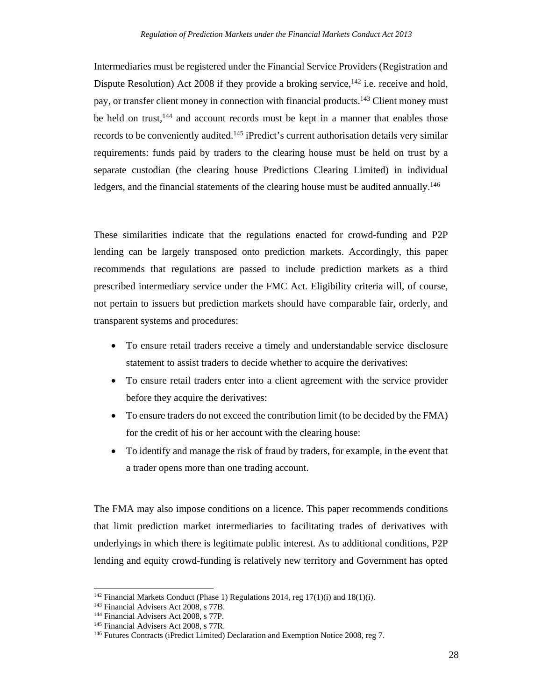Intermediaries must be registered under the Financial Service Providers (Registration and Dispute Resolution) Act 2008 if they provide a broking service,  $^{142}$  i.e. receive and hold, pay, or transfer client money in connection with financial products.143 Client money must be held on trust,<sup>144</sup> and account records must be kept in a manner that enables those records to be conveniently audited.<sup>145</sup> iPredict's current authorisation details very similar requirements: funds paid by traders to the clearing house must be held on trust by a separate custodian (the clearing house Predictions Clearing Limited) in individual ledgers, and the financial statements of the clearing house must be audited annually.<sup>146</sup>

These similarities indicate that the regulations enacted for crowd-funding and P2P lending can be largely transposed onto prediction markets. Accordingly, this paper recommends that regulations are passed to include prediction markets as a third prescribed intermediary service under the FMC Act. Eligibility criteria will, of course, not pertain to issuers but prediction markets should have comparable fair, orderly, and transparent systems and procedures:

- To ensure retail traders receive a timely and understandable service disclosure statement to assist traders to decide whether to acquire the derivatives:
- To ensure retail traders enter into a client agreement with the service provider before they acquire the derivatives:
- To ensure traders do not exceed the contribution limit (to be decided by the FMA) for the credit of his or her account with the clearing house:
- To identify and manage the risk of fraud by traders, for example, in the event that a trader opens more than one trading account.

The FMA may also impose conditions on a licence. This paper recommends conditions that limit prediction market intermediaries to facilitating trades of derivatives with underlyings in which there is legitimate public interest. As to additional conditions, P2P lending and equity crowd-funding is relatively new territory and Government has opted

<sup>&</sup>lt;sup>142</sup> Financial Markets Conduct (Phase 1) Regulations 2014, reg 17(1)(i) and 18(1)(i).<br><sup>143</sup> Financial Advisers Act 2008, s 77B.<br><sup>144</sup> Financial Advisers Act 2008, s 77P.<br><sup>145</sup> Financial Advisers Act 2008, s 77R.<br><sup>145</sup> Fu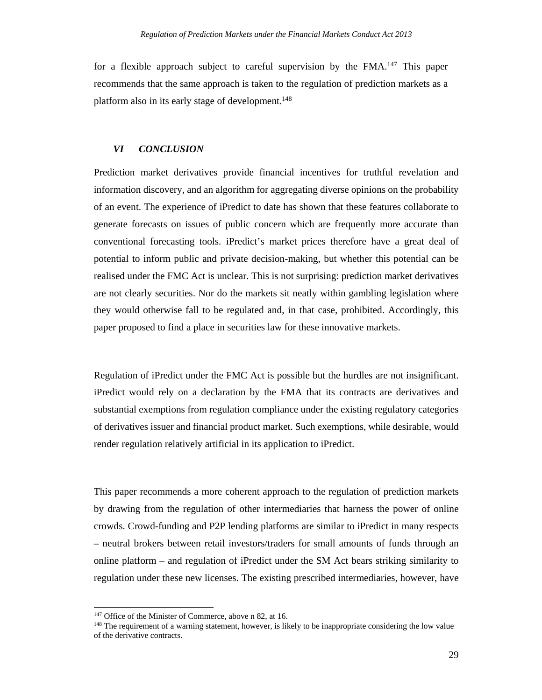for a flexible approach subject to careful supervision by the FMA.<sup>147</sup> This paper recommends that the same approach is taken to the regulation of prediction markets as a platform also in its early stage of development.<sup>148</sup>

## *VI CONCLUSION*

Prediction market derivatives provide financial incentives for truthful revelation and information discovery, and an algorithm for aggregating diverse opinions on the probability of an event. The experience of iPredict to date has shown that these features collaborate to generate forecasts on issues of public concern which are frequently more accurate than conventional forecasting tools. iPredict's market prices therefore have a great deal of potential to inform public and private decision-making, but whether this potential can be realised under the FMC Act is unclear. This is not surprising: prediction market derivatives are not clearly securities. Nor do the markets sit neatly within gambling legislation where they would otherwise fall to be regulated and, in that case, prohibited. Accordingly, this paper proposed to find a place in securities law for these innovative markets.

Regulation of iPredict under the FMC Act is possible but the hurdles are not insignificant. iPredict would rely on a declaration by the FMA that its contracts are derivatives and substantial exemptions from regulation compliance under the existing regulatory categories of derivatives issuer and financial product market. Such exemptions, while desirable, would render regulation relatively artificial in its application to iPredict.

This paper recommends a more coherent approach to the regulation of prediction markets by drawing from the regulation of other intermediaries that harness the power of online crowds. Crowd-funding and P2P lending platforms are similar to iPredict in many respects – neutral brokers between retail investors/traders for small amounts of funds through an online platform – and regulation of iPredict under the SM Act bears striking similarity to regulation under these new licenses. The existing prescribed intermediaries, however, have

<sup>&</sup>lt;sup>147</sup> Office of the Minister of Commerce, above n 82, at 16.<br><sup>148</sup> The requirement of a warning statement, however, is likely to be inappropriate considering the low value of the derivative contracts.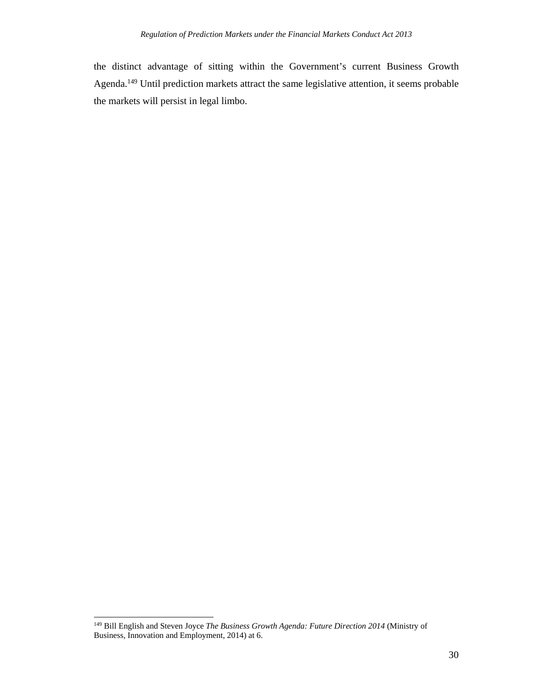the distinct advantage of sitting within the Government's current Business Growth Agenda.149 Until prediction markets attract the same legislative attention, it seems probable the markets will persist in legal limbo.

 149 Bill English and Steven Joyce *The Business Growth Agenda: Future Direction 2014* (Ministry of Business, Innovation and Employment, 2014) at 6.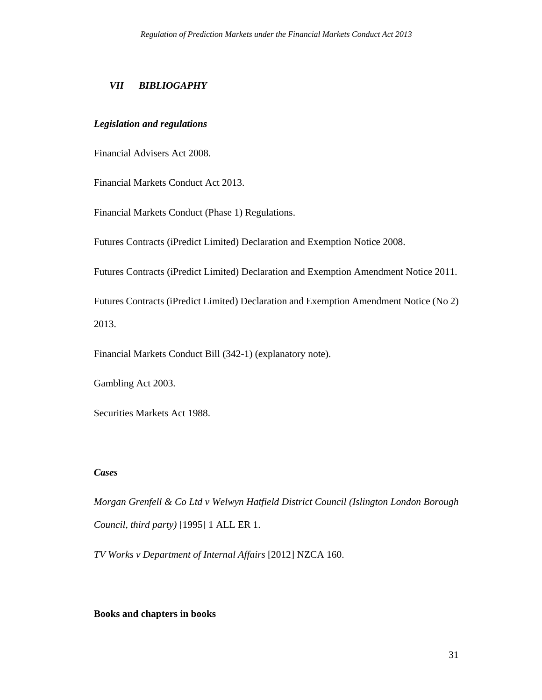## *VII BIBLIOGAPHY*

## *Legislation and regulations*

Financial Advisers Act 2008.

Financial Markets Conduct Act 2013.

Financial Markets Conduct (Phase 1) Regulations.

Futures Contracts (iPredict Limited) Declaration and Exemption Notice 2008.

Futures Contracts (iPredict Limited) Declaration and Exemption Amendment Notice 2011.

Futures Contracts (iPredict Limited) Declaration and Exemption Amendment Notice (No 2) 2013.

Financial Markets Conduct Bill (342-1) (explanatory note).

Gambling Act 2003.

Securities Markets Act 1988.

## *Cases*

*Morgan Grenfell & Co Ltd v Welwyn Hatfield District Council (Islington London Borough Council, third party)* [1995] 1 ALL ER 1.

*TV Works v Department of Internal Affairs* [2012] NZCA 160.

## **Books and chapters in books**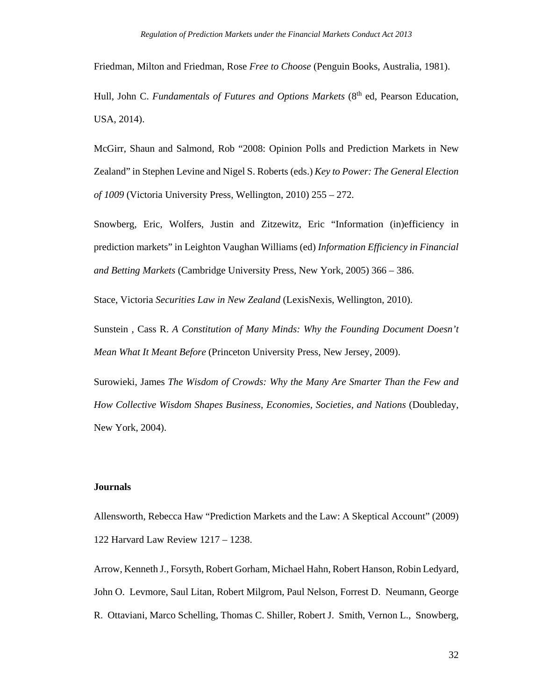Friedman, Milton and Friedman, Rose *Free to Choose* (Penguin Books, Australia, 1981).

Hull, John C. *Fundamentals of Futures and Options Markets* (8<sup>th</sup> ed, Pearson Education, USA, 2014).

McGirr, Shaun and Salmond, Rob "2008: Opinion Polls and Prediction Markets in New Zealand" in Stephen Levine and Nigel S. Roberts (eds.) *Key to Power: The General Election of 1009* (Victoria University Press, Wellington, 2010) 255 – 272.

Snowberg, Eric, Wolfers, Justin and Zitzewitz, Eric "Information (in)efficiency in prediction markets" in Leighton Vaughan Williams (ed) *Information Efficiency in Financial and Betting Markets* (Cambridge University Press, New York, 2005) 366 – 386.

Stace, Victoria *Securities Law in New Zealand* (LexisNexis, Wellington, 2010).

Sunstein , Cass R. *A Constitution of Many Minds: Why the Founding Document Doesn't Mean What It Meant Before* (Princeton University Press, New Jersey, 2009).

Surowieki, James *The Wisdom of Crowds: Why the Many Are Smarter Than the Few and How Collective Wisdom Shapes Business, Economies, Societies, and Nations* (Doubleday, New York, 2004).

## **Journals**

Allensworth, Rebecca Haw "Prediction Markets and the Law: A Skeptical Account" (2009) 122 Harvard Law Review 1217 – 1238.

Arrow, Kenneth J., Forsyth, Robert Gorham, Michael Hahn, Robert Hanson, Robin Ledyard, John O. Levmore, Saul Litan, Robert Milgrom, Paul Nelson, Forrest D. Neumann, George R. Ottaviani, Marco Schelling, Thomas C. Shiller, Robert J. Smith, Vernon L., Snowberg,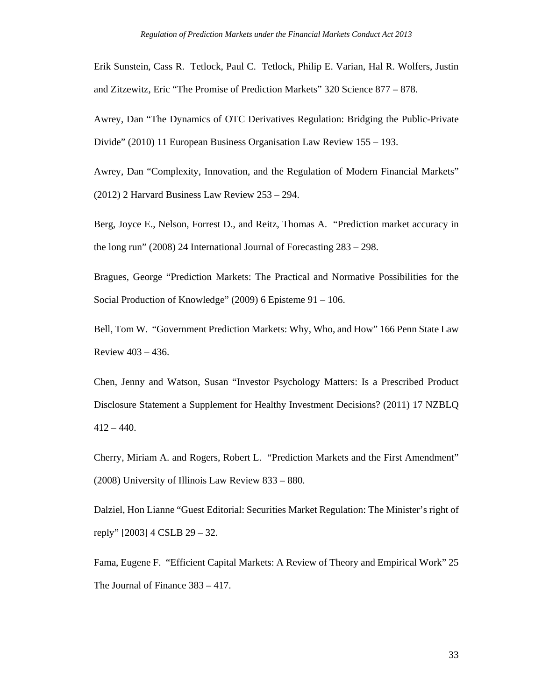Erik Sunstein, Cass R. Tetlock, Paul C. Tetlock, Philip E. Varian, Hal R. Wolfers, Justin and Zitzewitz, Eric "The Promise of Prediction Markets" 320 Science 877 – 878.

Awrey, Dan "The Dynamics of OTC Derivatives Regulation: Bridging the Public-Private Divide" (2010) 11 European Business Organisation Law Review 155 – 193.

Awrey, Dan "Complexity, Innovation, and the Regulation of Modern Financial Markets" (2012) 2 Harvard Business Law Review 253 – 294.

Berg, Joyce E., Nelson, Forrest D., and Reitz, Thomas A. "Prediction market accuracy in the long run" (2008) 24 International Journal of Forecasting 283 – 298.

Bragues, George "Prediction Markets: The Practical and Normative Possibilities for the Social Production of Knowledge" (2009) 6 Episteme 91 – 106.

Bell, Tom W. "Government Prediction Markets: Why, Who, and How" 166 Penn State Law Review 403 – 436.

Chen, Jenny and Watson, Susan "Investor Psychology Matters: Is a Prescribed Product Disclosure Statement a Supplement for Healthy Investment Decisions? (2011) 17 NZBLQ  $412 - 440.$ 

Cherry, Miriam A. and Rogers, Robert L. "Prediction Markets and the First Amendment" (2008) University of Illinois Law Review 833 – 880.

Dalziel, Hon Lianne "Guest Editorial: Securities Market Regulation: The Minister's right of reply" [2003] 4 CSLB 29 – 32.

Fama, Eugene F. "Efficient Capital Markets: A Review of Theory and Empirical Work" 25 The Journal of Finance 383 – 417.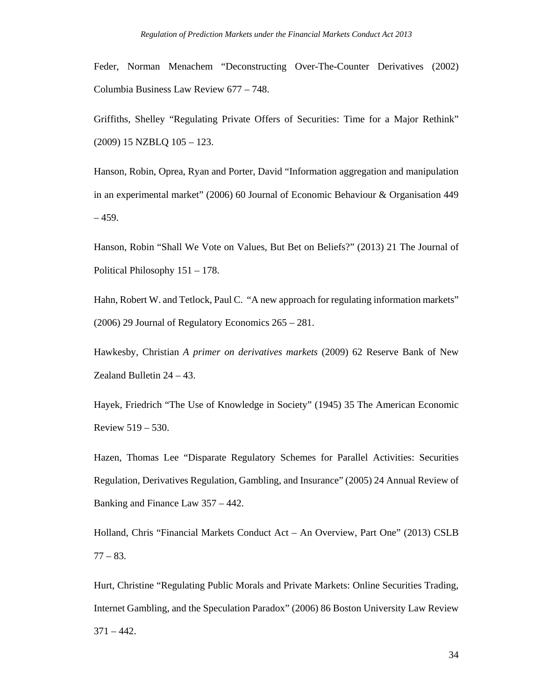Feder, Norman Menachem "Deconstructing Over-The-Counter Derivatives (2002) Columbia Business Law Review 677 – 748.

Griffiths, Shelley "Regulating Private Offers of Securities: Time for a Major Rethink" (2009) 15 NZBLQ 105 – 123.

Hanson, Robin, Oprea, Ryan and Porter, David "Information aggregation and manipulation in an experimental market" (2006) 60 Journal of Economic Behaviour & Organisation 449  $-459.$ 

Hanson, Robin "Shall We Vote on Values, But Bet on Beliefs?" (2013) 21 The Journal of Political Philosophy 151 – 178.

Hahn, Robert W. and Tetlock, Paul C. "A new approach for regulating information markets" (2006) 29 Journal of Regulatory Economics 265 – 281.

Hawkesby, Christian *A primer on derivatives markets* (2009) 62 Reserve Bank of New Zealand Bulletin 24 – 43.

Hayek, Friedrich "The Use of Knowledge in Society" (1945) 35 The American Economic Review 519 – 530.

Hazen, Thomas Lee "Disparate Regulatory Schemes for Parallel Activities: Securities Regulation, Derivatives Regulation, Gambling, and Insurance" (2005) 24 Annual Review of Banking and Finance Law 357 – 442.

Holland, Chris "Financial Markets Conduct Act – An Overview, Part One" (2013) CSLB 77 – 83.

Hurt, Christine "Regulating Public Morals and Private Markets: Online Securities Trading, Internet Gambling, and the Speculation Paradox" (2006) 86 Boston University Law Review  $371 - 442.$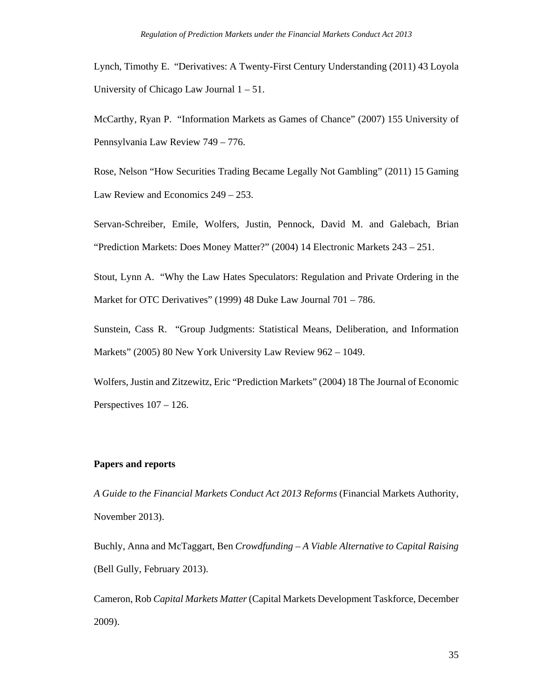Lynch, Timothy E. "Derivatives: A Twenty-First Century Understanding (2011) 43 Loyola University of Chicago Law Journal 1 – 51.

McCarthy, Ryan P. "Information Markets as Games of Chance" (2007) 155 University of Pennsylvania Law Review 749 – 776.

Rose, Nelson "How Securities Trading Became Legally Not Gambling" (2011) 15 Gaming Law Review and Economics 249 – 253.

Servan-Schreiber, Emile, Wolfers, Justin, Pennock, David M. and Galebach, Brian "Prediction Markets: Does Money Matter?" (2004) 14 Electronic Markets 243 – 251.

Stout, Lynn A. "Why the Law Hates Speculators: Regulation and Private Ordering in the Market for OTC Derivatives" (1999) 48 Duke Law Journal 701 – 786.

Sunstein, Cass R. "Group Judgments: Statistical Means, Deliberation, and Information Markets" (2005) 80 New York University Law Review 962 – 1049.

Wolfers, Justin and Zitzewitz, Eric "Prediction Markets" (2004) 18 The Journal of Economic Perspectives 107 – 126.

## **Papers and reports**

*A Guide to the Financial Markets Conduct Act 2013 Reforms* (Financial Markets Authority, November 2013).

Buchly, Anna and McTaggart, Ben *Crowdfunding – A Viable Alternative to Capital Raising*  (Bell Gully, February 2013).

Cameron, Rob *Capital Markets Matter* (Capital Markets Development Taskforce, December 2009).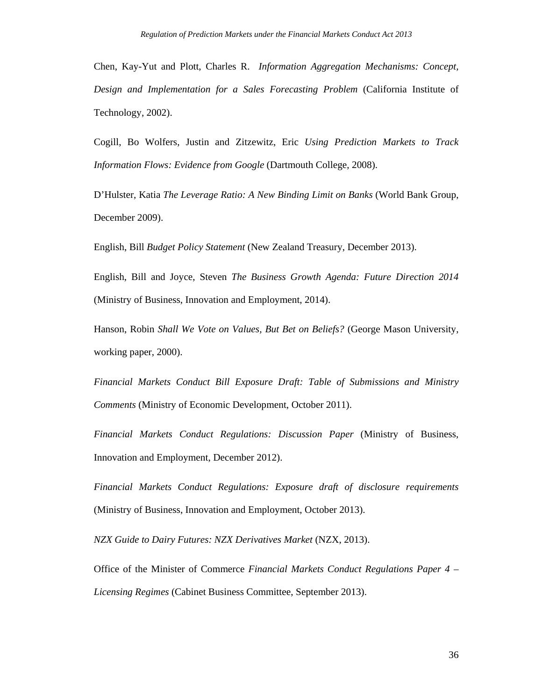Chen, Kay-Yut and Plott, Charles R. *Information Aggregation Mechanisms: Concept, Design and Implementation for a Sales Forecasting Problem* (California Institute of Technology, 2002).

Cogill, Bo Wolfers, Justin and Zitzewitz, Eric *Using Prediction Markets to Track Information Flows: Evidence from Google* (Dartmouth College, 2008).

D'Hulster, Katia *The Leverage Ratio: A New Binding Limit on Banks* (World Bank Group, December 2009).

English, Bill *Budget Policy Statement* (New Zealand Treasury, December 2013).

English, Bill and Joyce, Steven *The Business Growth Agenda: Future Direction 2014*  (Ministry of Business, Innovation and Employment, 2014).

Hanson, Robin *Shall We Vote on Values, But Bet on Beliefs?* (George Mason University, working paper, 2000).

*Financial Markets Conduct Bill Exposure Draft: Table of Submissions and Ministry Comments* (Ministry of Economic Development, October 2011).

*Financial Markets Conduct Regulations: Discussion Paper* (Ministry of Business, Innovation and Employment, December 2012).

*Financial Markets Conduct Regulations: Exposure draft of disclosure requirements*  (Ministry of Business, Innovation and Employment, October 2013).

*NZX Guide to Dairy Futures: NZX Derivatives Market* (NZX, 2013).

Office of the Minister of Commerce *Financial Markets Conduct Regulations Paper 4 – Licensing Regimes* (Cabinet Business Committee, September 2013).